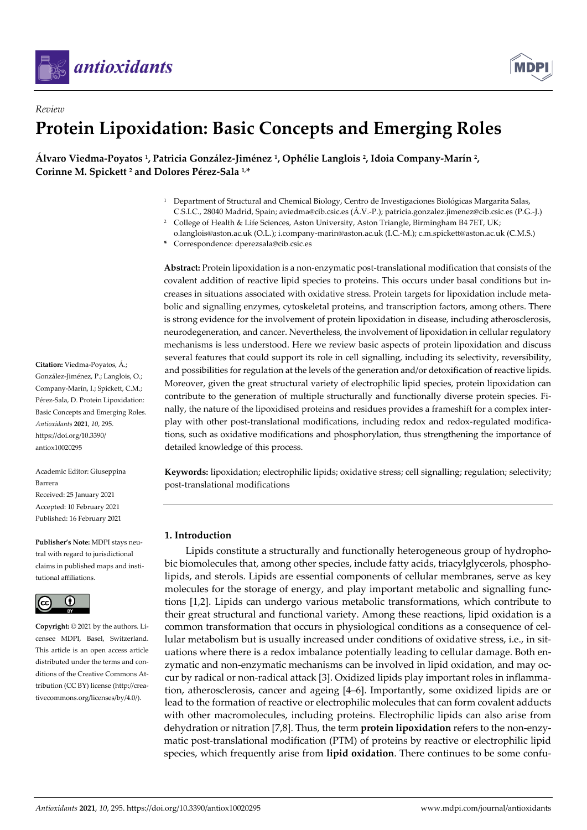

*Review*



# **Protein Lipoxidation: Basic Concepts and Emerging Roles**

**Álvaro Viedma-Poyatos <sup>1</sup> , Patricia González-Jiménez <sup>1</sup> , Ophélie Langlois <sup>2</sup> , Idoia Company-Marín <sup>2</sup> , Corinne M. Spickett <sup>2</sup> and Dolores Pérez-Sala 1,\***

- <sup>1</sup> Department of Structural and Chemical Biology, Centro de Investigaciones Biológicas Margarita Salas, C.S.I.C., 28040 Madrid, Spain; aviedma@cib.csic.es (Á .V.-P.); patricia.gonzalez.jimenez@cib.csic.es (P.G.-J.)
- <sup>2</sup> College of Health & Life Sciences, Aston University, Aston Triangle, Birmingham B4 7ET, UK;
- o.langlois@aston.ac.uk (O.L.); i.company-marin@aston.ac.uk (I.C.-M.); c.m.spickett@aston.ac.uk (C.M.S.) **\*** Correspondence: dperezsala@cib.csic.es

**Abstract:** Protein lipoxidation is a non-enzymatic post-translational modification that consists of the covalent addition of reactive lipid species to proteins. This occurs under basal conditions but increases in situations associated with oxidative stress. Protein targets for lipoxidation include metabolic and signalling enzymes, cytoskeletal proteins, and transcription factors, among others. There is strong evidence for the involvement of protein lipoxidation in disease, including atherosclerosis, neurodegeneration, and cancer. Nevertheless, the involvement of lipoxidation in cellular regulatory mechanisms is less understood. Here we review basic aspects of protein lipoxidation and discuss several features that could support its role in cell signalling, including its selectivity, reversibility, and possibilities for regulation at the levels of the generation and/or detoxification of reactive lipids. Moreover, given the great structural variety of electrophilic lipid species, protein lipoxidation can contribute to the generation of multiple structurally and functionally diverse protein species. Finally, the nature of the lipoxidised proteins and residues provides a frameshift for a complex interplay with other post-translational modifications, including redox and redox-regulated modifications, such as oxidative modifications and phosphorylation, thus strengthening the importance of detailed knowledge of this process.

**Keywords:** lipoxidation; electrophilic lipids; oxidative stress; cell signalling; regulation; selectivity; post-translational modifications

## **1. Introduction**

Lipids constitute a structurally and functionally heterogeneous group of hydrophobic biomolecules that, among other species, include fatty acids, triacylglycerols, phospholipids, and sterols. Lipids are essential components of cellular membranes, serve as key molecules for the storage of energy, and play important metabolic and signalling functions [1,2]. Lipids can undergo various metabolic transformations, which contribute to their great structural and functional variety. Among these reactions, lipid oxidation is a common transformation that occurs in physiological conditions as a consequence of cellular metabolism but is usually increased under conditions of oxidative stress, i.e., in situations where there is a redox imbalance potentially leading to cellular damage. Both enzymatic and non-enzymatic mechanisms can be involved in lipid oxidation, and may occur by radical or non-radical attack [3]. Oxidized lipids play important roles in inflammation, atherosclerosis, cancer and ageing [4–6]. Importantly, some oxidized lipids are or lead to the formation of reactive or electrophilic molecules that can form covalent adducts with other macromolecules, including proteins. Electrophilic lipids can also arise from dehydration or nitration [7,8]. Thus, the term **protein lipoxidation** refers to the non-enzymatic post-translational modification (PTM) of proteins by reactive or electrophilic lipid species, which frequently arise from **lipid oxidation**. There continues to be some confu-

**Citation:** Viedma-Poyatos, Á .; González-Jiménez, P.; Langlois, O.; Company-Marín, I.; Spickett, C.M.; Pérez-Sala, D. Protein Lipoxidation: Basic Concepts and Emerging Roles. *Antioxidants* **2021**, *10*, 295. https://doi.org/10.3390/ antiox10020295

Academic Editor: Giuseppina Barrera Received: 25 January 2021 Accepted: 10 February 2021 Published: 16 February 2021

**Publisher's Note:** MDPI stays neutral with regard to jurisdictional claims in published maps and institutional affiliations.



**Copyright:** © 2021 by the authors. Licensee MDPI, Basel, Switzerland. This article is an open access article distributed under the terms and conditions of the Creative Commons Attribution (CC BY) license (http://creativecommons.org/licenses/by/4.0/).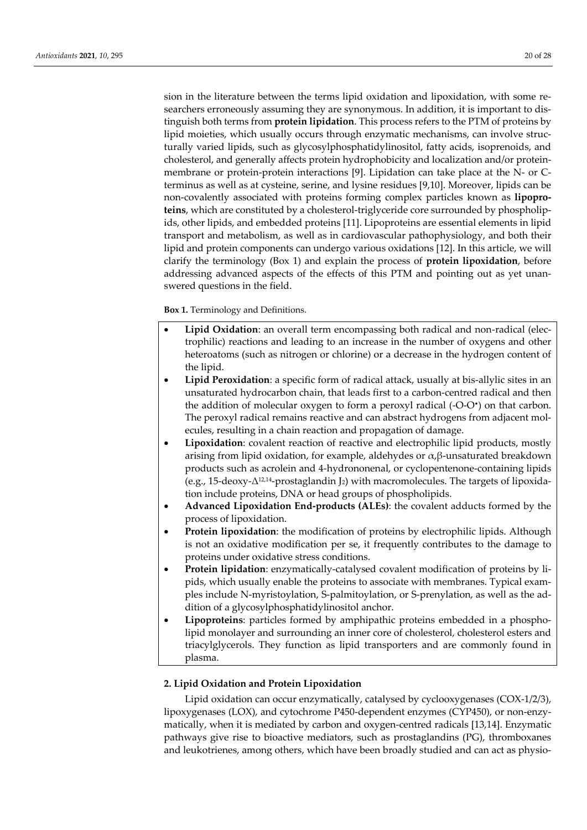sion in the literature between the terms lipid oxidation and lipoxidation, with some researchers erroneously assuming they are synonymous. In addition, it is important to distinguish both terms from **protein lipidation**. This process refers to the PTM of proteins by lipid moieties, which usually occurs through enzymatic mechanisms, can involve structurally varied lipids, such as glycosylphosphatidylinositol, fatty acids, isoprenoids, and cholesterol, and generally affects protein hydrophobicity and localization and/or proteinmembrane or protein-protein interactions [9]. Lipidation can take place at the N- or Cterminus as well as at cysteine, serine, and lysine residues [9,10]. Moreover, lipids can be non-covalently associated with proteins forming complex particles known as **lipoproteins**, which are constituted by a cholesterol-triglyceride core surrounded by phospholipids, other lipids, and embedded proteins [11]. Lipoproteins are essential elements in lipid transport and metabolism, as well as in cardiovascular pathophysiology, and both their lipid and protein components can undergo various oxidations [12]. In this article, we will clarify the terminology (Box 1) and explain the process of **protein lipoxidation**, before addressing advanced aspects of the effects of this PTM and pointing out as yet unanswered questions in the field.

**Box 1.** Terminology and Definitions.

- Lipid Oxidation: an overall term encompassing both radical and non-radical (electrophilic) reactions and leading to an increase in the number of oxygens and other heteroatoms (such as nitrogen or chlorine) or a decrease in the hydrogen content of the lipid.
- **Lipid Peroxidation**: a specific form of radical attack, usually at bis-allylic sites in an unsaturated hydrocarbon chain, that leads first to a carbon-centred radical and then the addition of molecular oxygen to form a peroxyl radical (-O-O<sup>•</sup>) on that carbon. The peroxyl radical remains reactive and can abstract hydrogens from adjacent molecules, resulting in a chain reaction and propagation of damage.
- **Lipoxidation**: covalent reaction of reactive and electrophilic lipid products, mostly arising from lipid oxidation, for example, aldehydes or α,β-unsaturated breakdown products such as acrolein and 4-hydrononenal, or cyclopentenone-containing lipids (e.g., 15-deoxy- $\Delta^{12,14}$ -prostaglandin J<sub>2</sub>) with macromolecules. The targets of lipoxidation include proteins, DNA or head groups of phospholipids.
- **Advanced Lipoxidation End-products (ALEs)**: the covalent adducts formed by the process of lipoxidation.
- **Protein lipoxidation**: the modification of proteins by electrophilic lipids. Although is not an oxidative modification per se, it frequently contributes to the damage to proteins under oxidative stress conditions.
- **Protein lipidation**: enzymatically-catalysed covalent modification of proteins by lipids, which usually enable the proteins to associate with membranes. Typical examples include N-myristoylation, S-palmitoylation, or S-prenylation, as well as the addition of a glycosylphosphatidylinositol anchor.
- **Lipoproteins**: particles formed by amphipathic proteins embedded in a phospholipid monolayer and surrounding an inner core of cholesterol, cholesterol esters and triacylglycerols. They function as lipid transporters and are commonly found in plasma.

#### **2. Lipid Oxidation and Protein Lipoxidation**

Lipid oxidation can occur enzymatically, catalysed by cyclooxygenases (COX-1/2/3), lipoxygenases (LOX), and cytochrome P450-dependent enzymes (CYP450), or non-enzymatically, when it is mediated by carbon and oxygen-centred radicals [13,14]. Enzymatic pathways give rise to bioactive mediators, such as prostaglandins (PG), thromboxanes and leukotrienes, among others, which have been broadly studied and can act as physio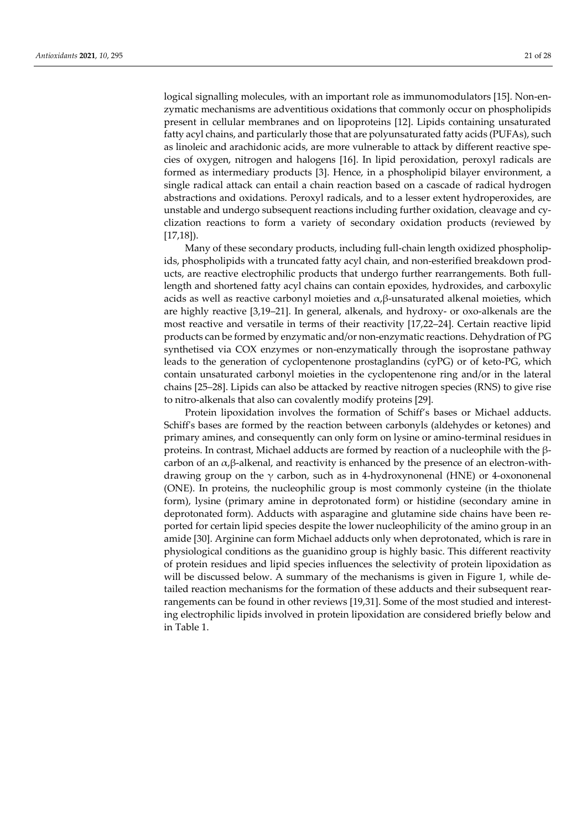logical signalling molecules, with an important role as immunomodulators [15]. Non-enzymatic mechanisms are adventitious oxidations that commonly occur on phospholipids present in cellular membranes and on lipoproteins [12]. Lipids containing unsaturated fatty acyl chains, and particularly those that are polyunsaturated fatty acids (PUFAs), such as linoleic and arachidonic acids, are more vulnerable to attack by different reactive species of oxygen, nitrogen and halogens [16]. In lipid peroxidation, peroxyl radicals are formed as intermediary products [3]. Hence, in a phospholipid bilayer environment, a single radical attack can entail a chain reaction based on a cascade of radical hydrogen abstractions and oxidations. Peroxyl radicals, and to a lesser extent hydroperoxides, are unstable and undergo subsequent reactions including further oxidation, cleavage and cyclization reactions to form a variety of secondary oxidation products (reviewed by [17,18]).

Many of these secondary products, including full-chain length oxidized phospholipids, phospholipids with a truncated fatty acyl chain, and non-esterified breakdown products, are reactive electrophilic products that undergo further rearrangements. Both fulllength and shortened fatty acyl chains can contain epoxides, hydroxides, and carboxylic acids as well as reactive carbonyl moieties and  $\alpha$ , $\beta$ -unsaturated alkenal moieties, which are highly reactive [3,19–21]. In general, alkenals, and hydroxy- or oxo-alkenals are the most reactive and versatile in terms of their reactivity [17,22–24]. Certain reactive lipid products can be formed by enzymatic and/or non-enzymatic reactions. Dehydration of PG synthetised via COX enzymes or non-enzymatically through the isoprostane pathway leads to the generation of cyclopentenone prostaglandins (cyPG) or of keto-PG, which contain unsaturated carbonyl moieties in the cyclopentenone ring and/or in the lateral chains [25–28]. Lipids can also be attacked by reactive nitrogen species (RNS) to give rise to nitro-alkenals that also can covalently modify proteins [29].

Protein lipoxidation involves the formation of Schiff's bases or Michael adducts. Schiff's bases are formed by the reaction between carbonyls (aldehydes or ketones) and primary amines, and consequently can only form on lysine or amino-terminal residues in proteins. In contrast, Michael adducts are formed by reaction of a nucleophile with the βcarbon of an  $\alpha$ , $\beta$ -alkenal, and reactivity is enhanced by the presence of an electron-withdrawing group on the  $\gamma$  carbon, such as in 4-hydroxynonenal (HNE) or 4-oxononenal (ONE). In proteins, the nucleophilic group is most commonly cysteine (in the thiolate form), lysine (primary amine in deprotonated form) or histidine (secondary amine in deprotonated form). Adducts with asparagine and glutamine side chains have been reported for certain lipid species despite the lower nucleophilicity of the amino group in an amide [30]. Arginine can form Michael adducts only when deprotonated, which is rare in physiological conditions as the guanidino group is highly basic. This different reactivity of protein residues and lipid species influences the selectivity of protein lipoxidation as will be discussed below. A summary of the mechanisms is given in Figure 1, while detailed reaction mechanisms for the formation of these adducts and their subsequent rearrangements can be found in other reviews [19,31]. Some of the most studied and interesting electrophilic lipids involved in protein lipoxidation are considered briefly below and in Table 1.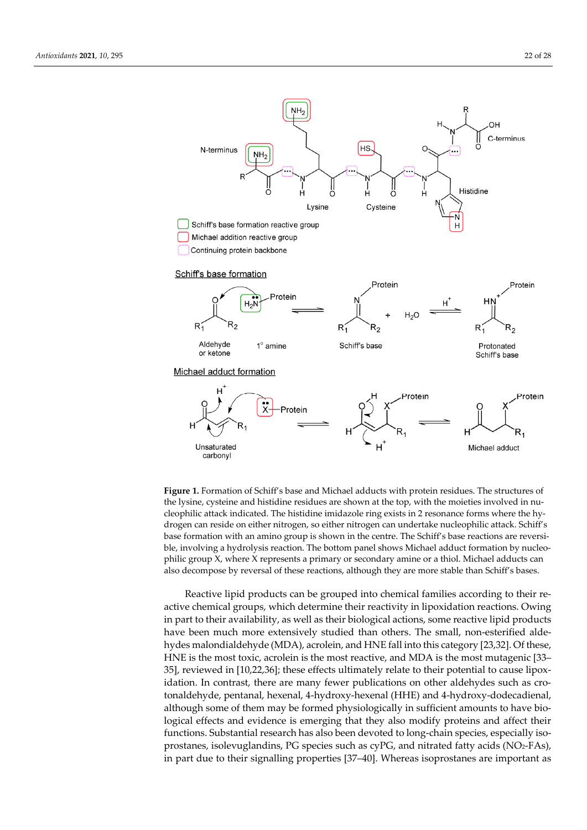

**Figure 1.** Formation of Schiff's base and Michael adducts with protein residues. The structures of the lysine, cysteine and histidine residues are shown at the top, with the moieties involved in nucleophilic attack indicated. The histidine imidazole ring exists in 2 resonance forms where the hydrogen can reside on either nitrogen, so either nitrogen can undertake nucleophilic attack. Schiff's base formation with an amino group is shown in the centre. The Schiff's base reactions are reversible, involving a hydrolysis reaction. The bottom panel shows Michael adduct formation by nucleophilic group X, where X represents a primary or secondary amine or a thiol. Michael adducts can also decompose by reversal of these reactions, although they are more stable than Schiff's bases.

Reactive lipid products can be grouped into chemical families according to their reactive chemical groups, which determine their reactivity in lipoxidation reactions. Owing in part to their availability, as well as their biological actions, some reactive lipid products have been much more extensively studied than others. The small, non-esterified aldehydes malondialdehyde (MDA), acrolein, and HNE fall into this category [23,32]. Of these, HNE is the most toxic, acrolein is the most reactive, and MDA is the most mutagenic [33– 35], reviewed in [10,22,36]; these effects ultimately relate to their potential to cause lipoxidation. In contrast, there are many fewer publications on other aldehydes such as crotonaldehyde, pentanal, hexenal, 4-hydroxy-hexenal (HHE) and 4-hydroxy-dodecadienal, although some of them may be formed physiologically in sufficient amounts to have biological effects and evidence is emerging that they also modify proteins and affect their functions. Substantial research has also been devoted to long-chain species, especially isoprostanes, isolevuglandins, PG species such as cyPG, and nitrated fatty acids (NO2-FAs), in part due to their signalling properties [37–40]. Whereas isoprostanes are important as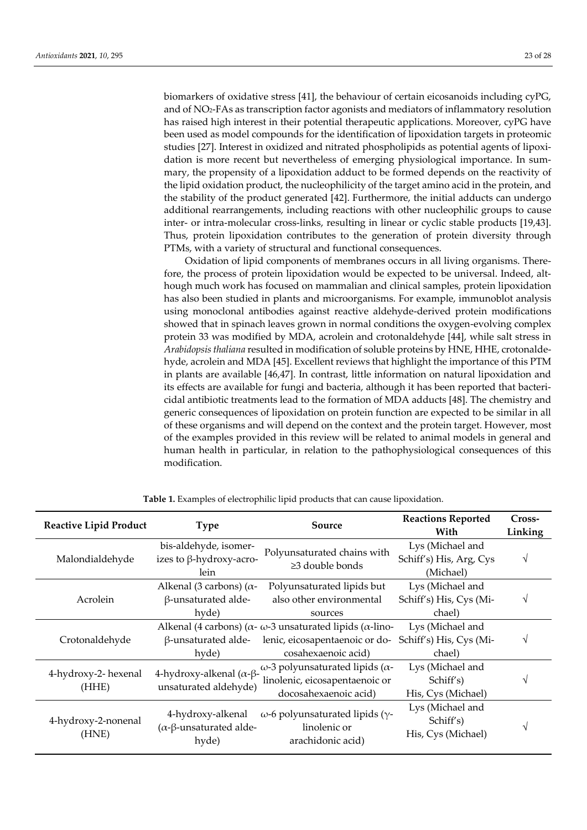biomarkers of oxidative stress [41], the behaviour of certain eicosanoids including cyPG, and of NO2-FAs as transcription factor agonists and mediators of inflammatory resolution has raised high interest in their potential therapeutic applications. Moreover, cyPG have been used as model compounds for the identification of lipoxidation targets in proteomic studies [27]. Interest in oxidized and nitrated phospholipids as potential agents of lipoxidation is more recent but nevertheless of emerging physiological importance. In summary, the propensity of a lipoxidation adduct to be formed depends on the reactivity of the lipid oxidation product, the nucleophilicity of the target amino acid in the protein, and the stability of the product generated [42]. Furthermore, the initial adducts can undergo additional rearrangements, including reactions with other nucleophilic groups to cause inter- or intra-molecular cross-links, resulting in linear or cyclic stable products [19,43]. Thus, protein lipoxidation contributes to the generation of protein diversity through PTMs, with a variety of structural and functional consequences.

Oxidation of lipid components of membranes occurs in all living organisms. Therefore, the process of protein lipoxidation would be expected to be universal. Indeed, although much work has focused on mammalian and clinical samples, protein lipoxidation has also been studied in plants and microorganisms. For example, immunoblot analysis using monoclonal antibodies against reactive aldehyde-derived protein modifications showed that in spinach leaves grown in normal conditions the oxygen-evolving complex protein 33 was modified by MDA, acrolein and crotonaldehyde [44], while salt stress in *Arabidopsis thaliana* resulted in modification of soluble proteins by HNE, HHE, crotonaldehyde, acrolein and MDA [45]. Excellent reviews that highlight the importance of this PTM in plants are available [46,47]. In contrast, little information on natural lipoxidation and its effects are available for fungi and bacteria, although it has been reported that bactericidal antibiotic treatments lead to the formation of MDA adducts [48]. The chemistry and generic consequences of lipoxidation on protein function are expected to be similar in all of these organisms and will depend on the context and the protein target. However, most of the examples provided in this review will be related to animal models in general and human health in particular, in relation to the pathophysiological consequences of this modification.

| <b>Reactive Lipid Product</b> | <b>Type</b>                                                          | Source                                                                                                                                     | <b>Reactions Reported</b><br>With                        | Cross-<br>Linking |
|-------------------------------|----------------------------------------------------------------------|--------------------------------------------------------------------------------------------------------------------------------------------|----------------------------------------------------------|-------------------|
| Malondialdehyde               | bis-aldehyde, isomer-<br>izes to $\beta$ -hydroxy-acro-<br>lein      | Polyunsaturated chains with<br>$\geq$ 3 double bonds                                                                                       | Lys (Michael and<br>Schiff's) His, Arg, Cys<br>(Michael) |                   |
| Acrolein                      | Alkenal (3 carbons) ( $\alpha$ -<br>β-unsaturated alde-<br>hyde)     | Polyunsaturated lipids but<br>also other environmental<br>sources                                                                          | Lys (Michael and<br>Schiff's) His, Cys (Mi-<br>chael)    |                   |
| Crotonaldehyde                | $\beta$ -unsaturated alde-<br>hyde)                                  | Alkenal (4 carbons) ( $\alpha$ - $\omega$ -3 unsaturated lipids ( $\alpha$ -lino-<br>lenic, eicosapentaenoic or do-<br>cosahexaenoic acid) | Lys (Michael and<br>Schiff's) His, Cys (Mi-<br>chael)    |                   |
| 4-hydroxy-2- hexenal<br>(HHE) | 4-hydroxy-alkenal ( $\alpha$ - $\beta$ -<br>unsaturated aldehyde)    | ω-3 polyunsaturated lipids ( $α$ -<br>linolenic, eicosapentaenoic or<br>docosahexaenoic acid)                                              | Lys (Michael and<br>Schiff's)<br>His, Cys (Michael)      |                   |
| 4-hydroxy-2-nonenal<br>(HNE)  | 4-hydroxy-alkenal<br>$(\alpha$ - $\beta$ -unsaturated alde-<br>hyde) | ω-6 polyunsaturated lipids (γ-<br>linolenic or<br>arachidonic acid)                                                                        | Lys (Michael and<br>Schiff's)<br>His, Cys (Michael)      |                   |

**Table 1.** Examples of electrophilic lipid products that can cause lipoxidation.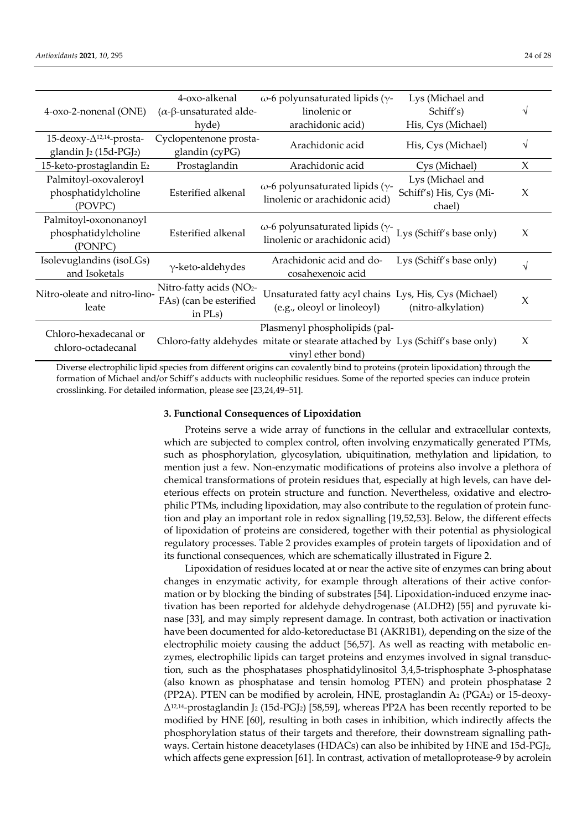| 4-oxo-2-nonenal (ONE)                                   | 4-oxo-alkenal<br>$(α$ -β-unsaturated alde-                    | ω-6 polyunsaturated lipids (γ-<br>linolenic or                                                                                       | Lys (Michael and<br>Schiff's)                         |        |
|---------------------------------------------------------|---------------------------------------------------------------|--------------------------------------------------------------------------------------------------------------------------------------|-------------------------------------------------------|--------|
|                                                         | hyde)                                                         | arachidonic acid)                                                                                                                    | His, Cys (Michael)                                    |        |
| 15-deoxy- $\Delta$ <sup>12,14</sup> -prosta-            | Cyclopentenone prosta-                                        | Arachidonic acid                                                                                                                     | His, Cys (Michael)                                    | V      |
| glandin J2 (15d-PGJ2)                                   | glandin (cyPG)                                                |                                                                                                                                      |                                                       |        |
| 15-keto-prostaglandin E2                                | Prostaglandin                                                 | Arachidonic acid                                                                                                                     | Cys (Michael)                                         | $\chi$ |
| Palmitoyl-oxovaleroyl<br>phosphatidylcholine<br>(POVPC) | Esterified alkenal                                            | $\omega$ -6 polyunsaturated lipids ( $\gamma$ -<br>linolenic or arachidonic acid)                                                    | Lys (Michael and<br>Schiff's) His, Cys (Mi-<br>chael) | X      |
| Palmitoyl-oxononanoyl<br>phosphatidylcholine<br>(PONPC) | Esterified alkenal                                            | $\omega$ -6 polyunsaturated lipids ( $\gamma$ -<br>linolenic or arachidonic acid)                                                    | Lys (Schiff's base only)                              | X      |
| Isolevuglandins (isoLGs)<br>and Isoketals               | $\gamma$ -keto-aldehydes                                      | Arachidonic acid and do-<br>cosahexenoic acid                                                                                        | Lys (Schiff's base only)                              | V      |
| Nitro-oleate and nitro-lino-<br>leate                   | Nitro-fatty acids (NO2-<br>FAs) (can be esterified<br>in PLs) | Unsaturated fatty acyl chains Lys, His, Cys (Michael)<br>(e.g., oleoyl or linoleoyl)                                                 | (nitro-alkylation)                                    | $\chi$ |
| Chloro-hexadecanal or<br>chloro-octadecanal             |                                                               | Plasmenyl phospholipids (pal-<br>Chloro-fatty aldehydes mitate or stearate attached by Lys (Schiff's base only)<br>vinyl ether bond) |                                                       | X      |
|                                                         |                                                               | Diverse electrophilic lipid species from different origins can covalently bind to proteins (protein lipovidation) through the        |                                                       |        |

e electrophilic lipid species from different origins can covalently bind to proteins (protein lipoxidation) through the formation of Michael and/or Schiff's adducts with nucleophilic residues. Some of the reported species can induce protein crosslinking. For detailed information, please see [23,24,49–51].

#### **3. Functional Consequences of Lipoxidation**

Proteins serve a wide array of functions in the cellular and extracellular contexts, which are subjected to complex control, often involving enzymatically generated PTMs, such as phosphorylation, glycosylation, ubiquitination, methylation and lipidation, to mention just a few. Non-enzymatic modifications of proteins also involve a plethora of chemical transformations of protein residues that, especially at high levels, can have deleterious effects on protein structure and function. Nevertheless, oxidative and electrophilic PTMs, including lipoxidation, may also contribute to the regulation of protein function and play an important role in redox signalling [19,52,53]. Below, the different effects of lipoxidation of proteins are considered, together with their potential as physiological regulatory processes. Table 2 provides examples of protein targets of lipoxidation and of its functional consequences, which are schematically illustrated in Figure 2.

Lipoxidation of residues located at or near the active site of enzymes can bring about changes in enzymatic activity, for example through alterations of their active conformation or by blocking the binding of substrates [54]. Lipoxidation-induced enzyme inactivation has been reported for aldehyde dehydrogenase (ALDH2) [55] and pyruvate kinase [33], and may simply represent damage. In contrast, both activation or inactivation have been documented for aldo-ketoreductase B1 (AKR1B1), depending on the size of the electrophilic moiety causing the adduct [56,57]. As well as reacting with metabolic enzymes, electrophilic lipids can target proteins and enzymes involved in signal transduction, such as the phosphatases phosphatidylinositol 3,4,5-trisphosphate 3-phosphatase (also known as phosphatase and tensin homolog PTEN) and protein phosphatase 2 (PP2A). PTEN can be modified by acrolein, HNE, prostaglandin A<sup>2</sup> (PGA2) or 15-deoxy- $\Delta^{12,14}$ -prostaglandin J<sub>2</sub> (15d-PGJ<sub>2</sub>) [58,59], whereas PP2A has been recently reported to be modified by HNE [60], resulting in both cases in inhibition, which indirectly affects the phosphorylation status of their targets and therefore, their downstream signalling pathways. Certain histone deacetylases (HDACs) can also be inhibited by HNE and 15d-PGJ2, which affects gene expression [61]. In contrast, activation of metalloprotease-9 by acrolein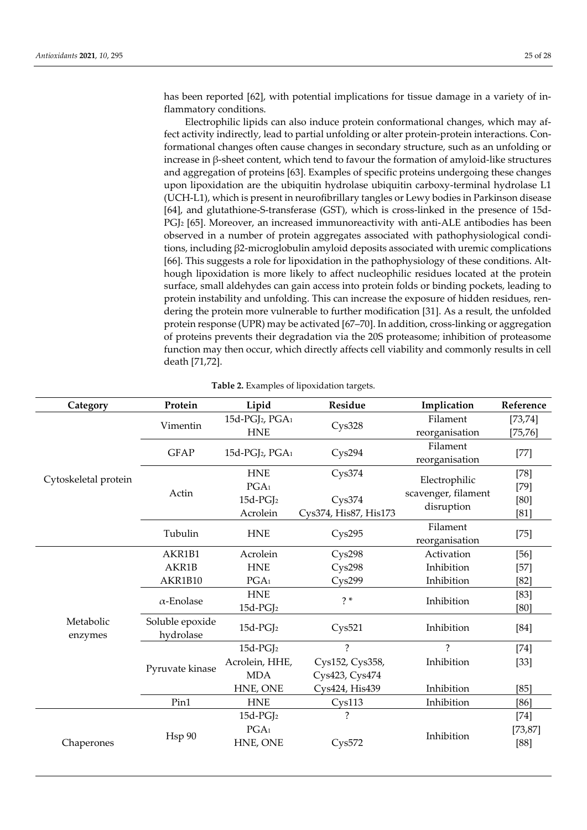has been reported [62], with potential implications for tissue damage in a variety of inflammatory conditions.

Electrophilic lipids can also induce protein conformational changes, which may affect activity indirectly, lead to partial unfolding or alter protein-protein interactions. Conformational changes often cause changes in secondary structure, such as an unfolding or increase in β-sheet content, which tend to favour the formation of amyloid-like structures and aggregation of proteins [63]. Examples of specific proteins undergoing these changes upon lipoxidation are the ubiquitin hydrolase ubiquitin carboxy-terminal hydrolase L1 (UCH-L1), which is present in neurofibrillary tangles or Lewy bodies in Parkinson disease [64], and glutathione-S-transferase (GST), which is cross-linked in the presence of 15d-PGJ<sup>2</sup> [65]. Moreover, an increased immunoreactivity with anti-ALE antibodies has been observed in a number of protein aggregates associated with pathophysiological conditions, including β2-microglobulin amyloid deposits associated with uremic complications [66]. This suggests a role for lipoxidation in the pathophysiology of these conditions. Although lipoxidation is more likely to affect nucleophilic residues located at the protein surface, small aldehydes can gain access into protein folds or binding pockets, leading to protein instability and unfolding. This can increase the exposure of hidden residues, rendering the protein more vulnerable to further modification [31]. As a result, the unfolded protein response (UPR) may be activated [67–70]. In addition, cross-linking or aggregation of proteins prevents their degradation via the 20S proteasome; inhibition of proteasome function may then occur, which directly affects cell viability and commonly results in cell death [71,72].

| Category             | Protein                      | Lipid                                   | Residue                  | Implication         | Reference |
|----------------------|------------------------------|-----------------------------------------|--------------------------|---------------------|-----------|
| Cytoskeletal protein | Vimentin                     | 15d-PGJ <sub>2</sub> , PGA <sub>1</sub> | Cys328                   | Filament            | [73, 74]  |
|                      |                              | <b>HNE</b>                              |                          | reorganisation      | [75, 76]  |
|                      | <b>GFAP</b>                  | 15d-PGJ <sub>2</sub> , PGA <sub>1</sub> | Cys294                   | Filament            | $[77]$    |
|                      |                              |                                         |                          | reorganisation      |           |
|                      |                              | <b>HNE</b>                              | Cys374                   | Electrophilic       | $[78]$    |
|                      | Actin                        | PGA <sub>1</sub>                        |                          | scavenger, filament | $[79]$    |
|                      |                              | $15d$ -PGJ <sub>2</sub>                 | Cys374                   | disruption          |           |
|                      |                              | Acrolein                                | Cys374, His87, His173    |                     | [81]      |
|                      | Tubulin                      | <b>HNE</b>                              |                          | Filament            |           |
|                      |                              |                                         | Cys295                   | reorganisation      | $[75]$    |
| Metabolic<br>enzymes | AKR1B1                       | Acrolein                                | Cys298                   | Activation          | $[56]$    |
|                      | AKR1B                        | <b>HNE</b>                              | C <sub>ys298</sub>       | Inhibition          | $[57]$    |
|                      | AKR1B10                      | PGA <sub>1</sub>                        | C <sub>VS</sub> 299      | Inhibition          | $[82]$    |
|                      | $\alpha$ -Enolase            | <b>HNE</b>                              | $2*$                     | Inhibition          | $[83]$    |
|                      |                              | $15d$ -PGJ <sub>2</sub>                 |                          |                     | [80]      |
|                      | Soluble epoxide<br>hydrolase | $15d$ -PGJ <sub>2</sub>                 | Cys521                   | Inhibition          | $[84]$    |
|                      |                              | $15d$ -PGJ <sub>2</sub>                 | $\mathcal{P}$            | $\mathcal{P}$       | $[74]$    |
|                      | Pyruvate kinase              | Acrolein, HHE,                          | Cys152, Cys358,          | Inhibition          | $[33]$    |
|                      |                              | <b>MDA</b>                              | Cys423, Cys474           |                     |           |
|                      |                              | HNE, ONE                                | Cys424, His439           | Inhibition          | [85]      |
|                      | Pin1                         | <b>HNE</b>                              | C <sub>ys113</sub>       | Inhibition          | [86]      |
| Chaperones           |                              | $15d$ -PGJ <sub>2</sub>                 | $\overline{\mathcal{C}}$ |                     | $[74]$    |
|                      | Hsp 90                       | PGA <sub>1</sub>                        |                          | Inhibition          | [73, 87]  |
|                      |                              | HNE, ONE                                | Cys572                   |                     | $[88]$    |
|                      |                              |                                         |                          |                     |           |

**Table 2.** Examples of lipoxidation targets.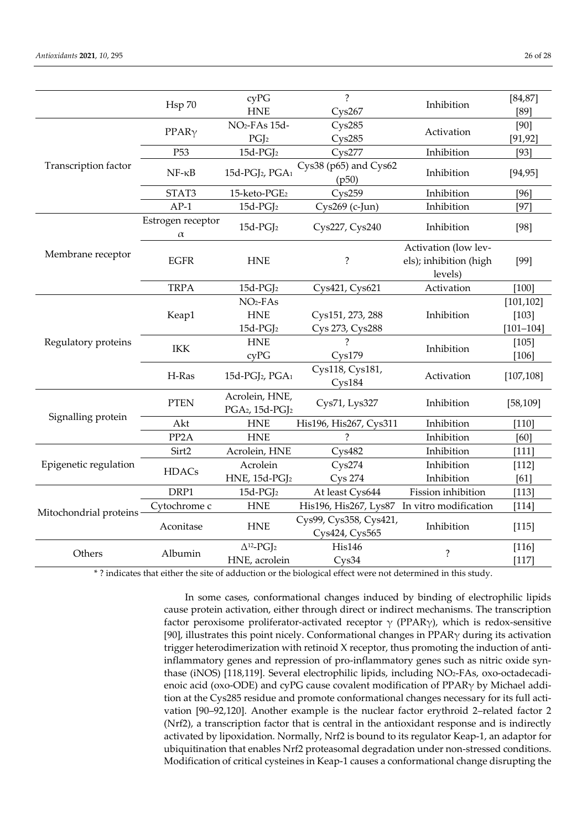|                        | Hsp 70                        | cyPG<br><b>HNE</b>                                        | $\overline{?}$<br>Cys267                    | Inhibition                                                | [84, 87]<br>[89]   |
|------------------------|-------------------------------|-----------------------------------------------------------|---------------------------------------------|-----------------------------------------------------------|--------------------|
|                        |                               | NO <sub>2</sub> -FA <sub>s</sub> 15d-                     |                                             |                                                           |                    |
| Transcription factor   | $PPAR\gamma$                  |                                                           | Cys285                                      | Activation                                                | $[90]$             |
|                        | P <sub>53</sub>               | PGJ <sub>2</sub><br>$15d$ -PGJ <sub>2</sub>               | Cys285<br>C <sub>VS</sub> 277               | Inhibition                                                | [91, 92]<br>[93]   |
|                        |                               |                                                           |                                             |                                                           |                    |
|                        | $NF - \kappa B$               | 15d-PGJ <sub>2</sub> , PGA <sub>1</sub>                   | Cys38 (p65) and Cys62<br>(p50)              | Inhibition                                                | [94, 95]           |
|                        | STAT3                         | 15-keto-PGE <sub>2</sub>                                  | C <sub>VS</sub> 259                         | Inhibition                                                | [96]               |
|                        | $AP-1$                        | 15d-PGJ <sub>2</sub>                                      | Cys269 (c-Jun)                              | Inhibition                                                | [97]               |
| Membrane receptor      | Estrogen receptor<br>$\alpha$ | $15d$ -PGJ <sub>2</sub>                                   | Cys227, Cys240                              | Inhibition                                                | $[98]$             |
|                        | <b>EGFR</b>                   | <b>HNE</b>                                                | ?                                           | Activation (low lev-<br>els); inhibition (high<br>levels) | [99]               |
|                        | <b>TRPA</b>                   | $15d$ -PGJ <sub>2</sub>                                   | Cys421, Cys621                              | Activation                                                | [100]              |
|                        | Keap1                         | $NO2-FAs$                                                 |                                             |                                                           | [101, 102]         |
|                        |                               | <b>HNE</b>                                                | Cys151, 273, 288<br>Inhibition              |                                                           | $[103]$            |
|                        |                               | $15d$ -PGJ <sub>2</sub>                                   | Cys 273, Cys288                             |                                                           | $[101 - 104]$      |
| Regulatory proteins    | IKK                           | <b>HNE</b>                                                | $\mathcal{P}$                               | Inhibition                                                | [105]              |
|                        |                               | cyPG                                                      | C <sub>VS</sub> 179                         |                                                           | $[106]$            |
|                        | H-Ras                         | 15d-PGJ <sub>2</sub> , PGA <sub>1</sub>                   | Cys118, Cys181,<br>C <sub>ys184</sub>       | Activation                                                | [107, 108]         |
| Signalling protein     | <b>PTEN</b>                   | Acrolein, HNE,<br>PGA2, 15d-PGJ2                          | Cys71, Lys327                               | Inhibition                                                | [58, 109]          |
|                        | Akt                           | <b>HNE</b>                                                | His196, His267, Cys311                      | Inhibition                                                | [110]              |
|                        | PP <sub>2</sub> A             | <b>HNE</b>                                                | 2                                           | Inhibition                                                | [60]               |
| Epigenetic regulation  | Sirt2                         | Acrolein, HNE                                             | Cys482                                      | Inhibition                                                | $[111]$            |
|                        | <b>HDACs</b>                  | Acrolein                                                  | C <sub>ys274</sub>                          | Inhibition                                                | $[112]$            |
|                        |                               | HNE, 15d-PGJ2                                             | <b>Cys 274</b>                              | Inhibition                                                | [61]               |
| Mitochondrial proteins | DRP1                          | $15d$ -PGJ <sub>2</sub>                                   | At least Cys644                             | Fission inhibition                                        | [113]              |
|                        | Cytochrome c                  | <b>HNE</b>                                                | His196, His267, Lys87 In vitro modification |                                                           | $[114]$            |
|                        | Aconitase                     | <b>HNE</b>                                                | Cys99, Cys358, Cys421,<br>Cys424, Cys565    | Inhibition                                                | $[115]$            |
| Others                 | Albumin                       | $\Delta$ <sup>12</sup> -PGJ <sub>2</sub><br>HNE, acrolein | His146<br>Cys34                             | $\overline{\cdot}$                                        | $[116]$<br>$[117]$ |

\* ? indicates that either the site of adduction or the biological effect were not determined in this study.

In some cases, conformational changes induced by binding of electrophilic lipids cause protein activation, either through direct or indirect mechanisms. The transcription factor peroxisome proliferator-activated receptor  $\gamma$  (PPAR $\gamma$ ), which is redox-sensitive [90], illustrates this point nicely. Conformational changes in PPAR $\gamma$  during its activation trigger heterodimerization with retinoid X receptor, thus promoting the induction of antiinflammatory genes and repression of pro-inflammatory genes such as nitric oxide synthase (iNOS) [118,119]. Several electrophilic lipids, including NO2-FAs, oxo-octadecadienoic acid (oxo-ODE) and cyPG cause covalent modification of PPARγ by Michael addition at the Cys285 residue and promote conformational changes necessary for its full activation [90–92,120]. Another example is the nuclear factor erythroid 2–related factor 2 (Nrf2), a transcription factor that is central in the antioxidant response and is indirectly activated by lipoxidation. Normally, Nrf2 is bound to its regulator Keap-1, an adaptor for ubiquitination that enables Nrf2 proteasomal degradation under non-stressed conditions. Modification of critical cysteines in Keap-1 causes a conformational change disrupting the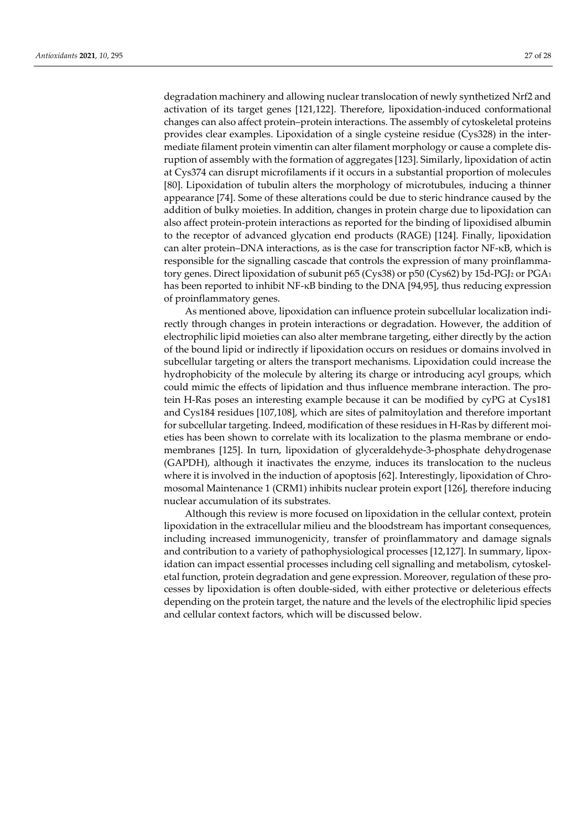degradation machinery and allowing nuclear translocation of newly synthetized Nrf2 and activation of its target genes [121,122]. Therefore, lipoxidation-induced conformational changes can also affect protein–protein interactions. The assembly of cytoskeletal proteins provides clear examples. Lipoxidation of a single cysteine residue (Cys328) in the intermediate filament protein vimentin can alter filament morphology or cause a complete disruption of assembly with the formation of aggregates [123]. Similarly, lipoxidation of actin at Cys374 can disrupt microfilaments if it occurs in a substantial proportion of molecules [80]. Lipoxidation of tubulin alters the morphology of microtubules, inducing a thinner appearance [74]. Some of these alterations could be due to steric hindrance caused by the addition of bulky moieties. In addition, changes in protein charge due to lipoxidation can also affect protein-protein interactions as reported for the binding of lipoxidised albumin to the receptor of advanced glycation end products (RAGE) [124]. Finally, lipoxidation can alter protein–DNA interactions, as is the case for transcription factor NF-κB, which is responsible for the signalling cascade that controls the expression of many proinflammatory genes. Direct lipoxidation of subunit p65 (Cys38) or p50 (Cys62) by 15d-PGJ<sup>2</sup> or PGA<sup>1</sup> has been reported to inhibit NF-κB binding to the DNA [94,95], thus reducing expression of proinflammatory genes.

As mentioned above, lipoxidation can influence protein subcellular localization indirectly through changes in protein interactions or degradation. However, the addition of electrophilic lipid moieties can also alter membrane targeting, either directly by the action of the bound lipid or indirectly if lipoxidation occurs on residues or domains involved in subcellular targeting or alters the transport mechanisms. Lipoxidation could increase the hydrophobicity of the molecule by altering its charge or introducing acyl groups, which could mimic the effects of lipidation and thus influence membrane interaction. The protein H-Ras poses an interesting example because it can be modified by cyPG at Cys181 and Cys184 residues [107,108], which are sites of palmitoylation and therefore important for subcellular targeting. Indeed, modification of these residues in H-Ras by different moieties has been shown to correlate with its localization to the plasma membrane or endomembranes [125]. In turn, lipoxidation of glyceraldehyde-3-phosphate dehydrogenase (GAPDH), although it inactivates the enzyme, induces its translocation to the nucleus where it is involved in the induction of apoptosis [62]. Interestingly, lipoxidation of Chromosomal Maintenance 1 (CRM1) inhibits nuclear protein export [126], therefore inducing nuclear accumulation of its substrates.

Although this review is more focused on lipoxidation in the cellular context, protein lipoxidation in the extracellular milieu and the bloodstream has important consequences, including increased immunogenicity, transfer of proinflammatory and damage signals and contribution to a variety of pathophysiological processes [12,127]. In summary, lipoxidation can impact essential processes including cell signalling and metabolism, cytoskeletal function, protein degradation and gene expression. Moreover, regulation of these processes by lipoxidation is often double-sided, with either protective or deleterious effects depending on the protein target, the nature and the levels of the electrophilic lipid species and cellular context factors, which will be discussed below.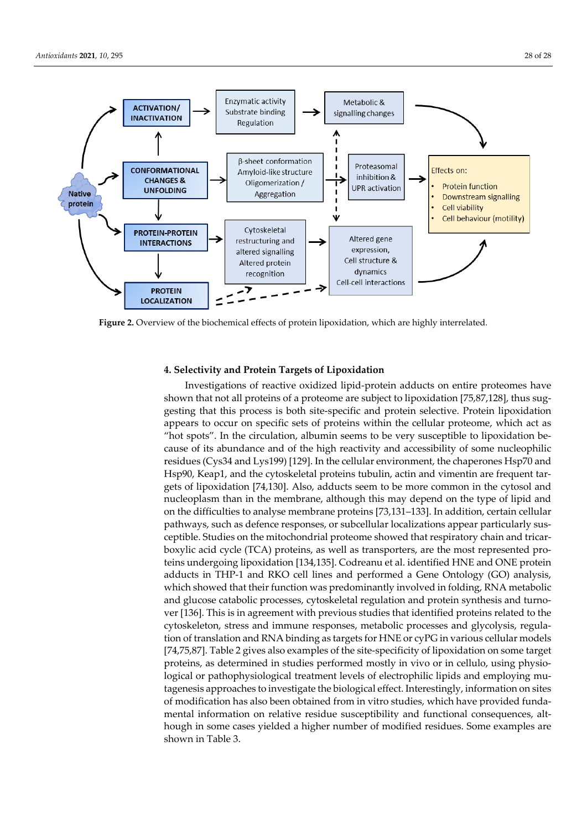

**Figure 2.** Overview of the biochemical effects of protein lipoxidation, which are highly interrelated.

#### **4. Selectivity and Protein Targets of Lipoxidation**

Investigations of reactive oxidized lipid-protein adducts on entire proteomes have shown that not all proteins of a proteome are subject to lipoxidation [75,87,128], thus suggesting that this process is both site-specific and protein selective. Protein lipoxidation appears to occur on specific sets of proteins within the cellular proteome, which act as "hot spots". In the circulation, albumin seems to be very susceptible to lipoxidation because of its abundance and of the high reactivity and accessibility of some nucleophilic residues (Cys34 and Lys199) [129]. In the cellular environment, the chaperones Hsp70 and Hsp90, Keap1, and the cytoskeletal proteins tubulin, actin and vimentin are frequent targets of lipoxidation [74,130]. Also, adducts seem to be more common in the cytosol and nucleoplasm than in the membrane, although this may depend on the type of lipid and on the difficulties to analyse membrane proteins [73,131–133]. In addition, certain cellular pathways, such as defence responses, or subcellular localizations appear particularly susceptible. Studies on the mitochondrial proteome showed that respiratory chain and tricarboxylic acid cycle (TCA) proteins, as well as transporters, are the most represented proteins undergoing lipoxidation [134,135]. Codreanu et al. identified HNE and ONE protein adducts in THP-1 and RKO cell lines and performed a Gene Ontology (GO) analysis, which showed that their function was predominantly involved in folding, RNA metabolic and glucose catabolic processes, cytoskeletal regulation and protein synthesis and turnover [136]. This is in agreement with previous studies that identified proteins related to the cytoskeleton, stress and immune responses, metabolic processes and glycolysis, regulation of translation and RNA binding as targets for HNE or cyPG in various cellular models [74,75,87]. Table 2 gives also examples of the site-specificity of lipoxidation on some target proteins, as determined in studies performed mostly in vivo or in cellulo, using physiological or pathophysiological treatment levels of electrophilic lipids and employing mutagenesis approaches to investigate the biological effect. Interestingly, information on sites of modification has also been obtained from in vitro studies, which have provided fundamental information on relative residue susceptibility and functional consequences, although in some cases yielded a higher number of modified residues. Some examples are shown in Table 3.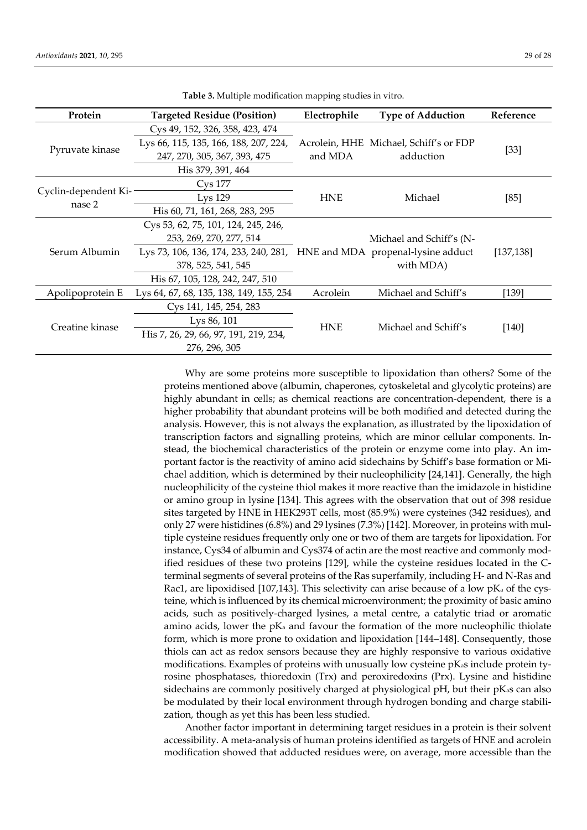| Protein                        | <b>Targeted Residue (Position)</b>                                       | Electrophile | <b>Type of Adduction</b>               | Reference  |
|--------------------------------|--------------------------------------------------------------------------|--------------|----------------------------------------|------------|
|                                | Cys 49, 152, 326, 358, 423, 474                                          |              |                                        |            |
| Pyruvate kinase                | Lys 66, 115, 135, 166, 188, 207, 224,                                    |              | Acrolein, HHE Michael, Schiff's or FDP |            |
|                                | 247, 270, 305, 367, 393, 475<br>and MDA                                  |              | adduction                              | [33]       |
|                                | His 379, 391, 464                                                        |              |                                        |            |
|                                | Cys 177                                                                  |              |                                        |            |
| Cyclin-dependent Ki-<br>nase 2 | L <sub>VS</sub> 129<br><b>HNE</b>                                        |              | Michael                                | [85]       |
|                                | His 60, 71, 161, 268, 283, 295                                           |              |                                        |            |
|                                | Cys 53, 62, 75, 101, 124, 245, 246,                                      |              |                                        |            |
| Serum Albumin                  | 253, 269, 270, 277, 514                                                  |              | Michael and Schiff's (N-               |            |
|                                | Lys 73, 106, 136, 174, 233, 240, 281, HNE and MDA propenal-lysine adduct |              | with MDA)                              | [137, 138] |
|                                | 378, 525, 541, 545                                                       |              |                                        |            |
|                                | His 67, 105, 128, 242, 247, 510                                          |              |                                        |            |
| Apolipoprotein E               | Lys 64, 67, 68, 135, 138, 149, 155, 254                                  | Acrolein     | Michael and Schiff's                   | $[139]$    |
| Creatine kinase                | Cys 141, 145, 254, 283                                                   |              |                                        |            |
|                                | Lys 86, 101                                                              |              | Michael and Schiff's                   | [140]      |
|                                | His 7, 26, 29, 66, 97, 191, 219, 234,                                    | <b>HNE</b>   |                                        |            |
|                                | 276, 296, 305                                                            |              |                                        |            |

**Table 3.** Multiple modification mapping studies in vitro.

Why are some proteins more susceptible to lipoxidation than others? Some of the proteins mentioned above (albumin, chaperones, cytoskeletal and glycolytic proteins) are highly abundant in cells; as chemical reactions are concentration-dependent, there is a higher probability that abundant proteins will be both modified and detected during the analysis. However, this is not always the explanation, as illustrated by the lipoxidation of transcription factors and signalling proteins, which are minor cellular components. Instead, the biochemical characteristics of the protein or enzyme come into play. An important factor is the reactivity of amino acid sidechains by Schiff's base formation or Michael addition, which is determined by their nucleophilicity [24,141]. Generally, the high nucleophilicity of the cysteine thiol makes it more reactive than the imidazole in histidine or amino group in lysine [134]. This agrees with the observation that out of 398 residue sites targeted by HNE in HEK293T cells, most (85.9%) were cysteines (342 residues), and only 27 were histidines (6.8%) and 29 lysines (7.3%) [142]. Moreover, in proteins with multiple cysteine residues frequently only one or two of them are targets for lipoxidation. For instance, Cys34 of albumin and Cys374 of actin are the most reactive and commonly modified residues of these two proteins [129], while the cysteine residues located in the Cterminal segments of several proteins of the Ras superfamily, including H- and N-Ras and Rac1, are lipoxidised [107,143]. This selectivity can arise because of a low  $pK_a$  of the cysteine, which is influenced by its chemical microenvironment; the proximity of basic amino acids, such as positively-charged lysines, a metal centre, a catalytic triad or aromatic amino acids, lower the  $pK_a$  and favour the formation of the more nucleophilic thiolate form, which is more prone to oxidation and lipoxidation [144–148]. Consequently, those thiols can act as redox sensors because they are highly responsive to various oxidative modifications. Examples of proteins with unusually low cysteine pKas include protein tyrosine phosphatases, thioredoxin (Trx) and peroxiredoxins (Prx). Lysine and histidine sidechains are commonly positively charged at physiological pH, but their pKas can also be modulated by their local environment through hydrogen bonding and charge stabilization, though as yet this has been less studied.

Another factor important in determining target residues in a protein is their solvent accessibility. A meta-analysis of human proteins identified as targets of HNE and acrolein modification showed that adducted residues were, on average, more accessible than the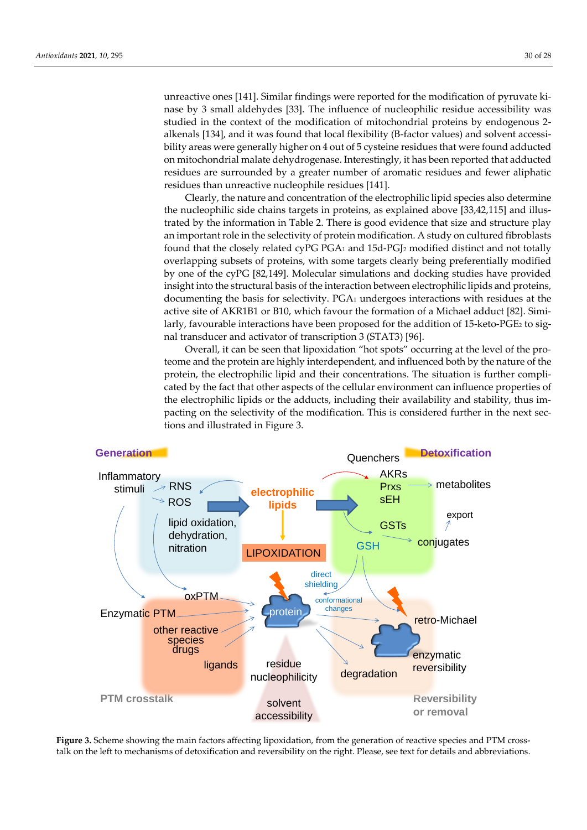unreactive ones [141]. Similar findings were reported for the modification of pyruvate kinase by 3 small aldehydes [33]. The influence of nucleophilic residue accessibility was studied in the context of the modification of mitochondrial proteins by endogenous 2 alkenals [134], and it was found that local flexibility (B-factor values) and solvent accessibility areas were generally higher on 4 out of 5 cysteine residues that were found adducted on mitochondrial malate dehydrogenase. Interestingly, it has been reported that adducted residues are surrounded by a greater number of aromatic residues and fewer aliphatic residues than unreactive nucleophile residues [141].

Clearly, the nature and concentration of the electrophilic lipid species also determine the nucleophilic side chains targets in proteins, as explained above [33,42,115] and illustrated by the information in Table 2. There is good evidence that size and structure play an important role in the selectivity of protein modification. A study on cultured fibroblasts found that the closely related cyPG PGA<sub>1</sub> and  $15d$ -PGJ<sub>2</sub> modified distinct and not totally overlapping subsets of proteins, with some targets clearly being preferentially modified by one of the cyPG [82,149]. Molecular simulations and docking studies have provided insight into the structural basis of the interaction between electrophilic lipids and proteins, documenting the basis for selectivity. PGA<sup>1</sup> undergoes interactions with residues at the active site of AKR1B1 or B10, which favour the formation of a Michael adduct [82]. Similarly, favourable interactions have been proposed for the addition of 15-keto-PGE<sup>2</sup> to signal transducer and activator of transcription 3 (STAT3) [96].

Overall, it can be seen that lipoxidation "hot spots" occurring at the level of the proteome and the protein are highly interdependent, and influenced both by the nature of the protein, the electrophilic lipid and their concentrations. The situation is further complicated by the fact that other aspects of the cellular environment can influence properties of the electrophilic lipids or the adducts, including their availability and stability, thus impacting on the selectivity of the modification. This is considered further in the next sections and illustrated in Figure 3.



**Figure 3.** Scheme showing the main factors affecting lipoxidation, from the generation of reactive species and PTM crosstalk on the left to mechanisms of detoxification and reversibility on the right. Please, see text for details and abbreviations.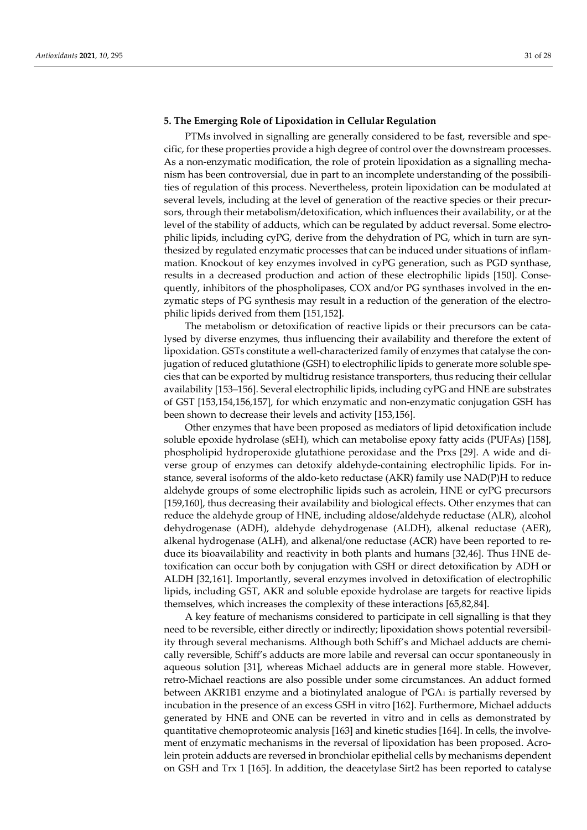#### **5. The Emerging Role of Lipoxidation in Cellular Regulation**

PTMs involved in signalling are generally considered to be fast, reversible and specific, for these properties provide a high degree of control over the downstream processes. As a non-enzymatic modification, the role of protein lipoxidation as a signalling mechanism has been controversial, due in part to an incomplete understanding of the possibilities of regulation of this process. Nevertheless, protein lipoxidation can be modulated at several levels, including at the level of generation of the reactive species or their precursors, through their metabolism/detoxification, which influences their availability, or at the level of the stability of adducts, which can be regulated by adduct reversal. Some electrophilic lipids, including cyPG, derive from the dehydration of PG, which in turn are synthesized by regulated enzymatic processes that can be induced under situations of inflammation. Knockout of key enzymes involved in cyPG generation, such as PGD synthase, results in a decreased production and action of these electrophilic lipids [150]. Consequently, inhibitors of the phospholipases, COX and/or PG synthases involved in the enzymatic steps of PG synthesis may result in a reduction of the generation of the electrophilic lipids derived from them [151,152].

The metabolism or detoxification of reactive lipids or their precursors can be catalysed by diverse enzymes, thus influencing their availability and therefore the extent of lipoxidation. GSTs constitute a well-characterized family of enzymes that catalyse the conjugation of reduced glutathione (GSH) to electrophilic lipids to generate more soluble species that can be exported by multidrug resistance transporters, thus reducing their cellular availability [153–156]. Several electrophilic lipids, including cyPG and HNE are substrates of GST [153,154,156,157], for which enzymatic and non-enzymatic conjugation GSH has been shown to decrease their levels and activity [153,156].

Other enzymes that have been proposed as mediators of lipid detoxification include soluble epoxide hydrolase (sEH), which can metabolise epoxy fatty acids (PUFAs) [158], phospholipid hydroperoxide glutathione peroxidase and the Prxs [29]. A wide and diverse group of enzymes can detoxify aldehyde-containing electrophilic lipids. For instance, several isoforms of the aldo-keto reductase (AKR) family use NAD(P)H to reduce aldehyde groups of some electrophilic lipids such as acrolein, HNE or cyPG precursors [159,160], thus decreasing their availability and biological effects. Other enzymes that can reduce the aldehyde group of HNE, including aldose/aldehyde reductase (ALR), alcohol dehydrogenase (ADH), aldehyde dehydrogenase (ALDH), alkenal reductase (AER), alkenal hydrogenase (ALH), and alkenal/one reductase (ACR) have been reported to reduce its bioavailability and reactivity in both plants and humans [32,46]. Thus HNE detoxification can occur both by conjugation with GSH or direct detoxification by ADH or ALDH [32,161]. Importantly, several enzymes involved in detoxification of electrophilic lipids, including GST, AKR and soluble epoxide hydrolase are targets for reactive lipids themselves, which increases the complexity of these interactions [65,82,84].

A key feature of mechanisms considered to participate in cell signalling is that they need to be reversible, either directly or indirectly; lipoxidation shows potential reversibility through several mechanisms. Although both Schiff's and Michael adducts are chemically reversible, Schiff's adducts are more labile and reversal can occur spontaneously in aqueous solution [31], whereas Michael adducts are in general more stable. However, retro-Michael reactions are also possible under some circumstances. An adduct formed between AKR1B1 enzyme and a biotinylated analogue of PGA<sup>1</sup> is partially reversed by incubation in the presence of an excess GSH in vitro [162]. Furthermore, Michael adducts generated by HNE and ONE can be reverted in vitro and in cells as demonstrated by quantitative chemoproteomic analysis [163] and kinetic studies [164]. In cells, the involvement of enzymatic mechanisms in the reversal of lipoxidation has been proposed. Acrolein protein adducts are reversed in bronchiolar epithelial cells by mechanisms dependent on GSH and Trx 1 [165]. In addition, the deacetylase Sirt2 has been reported to catalyse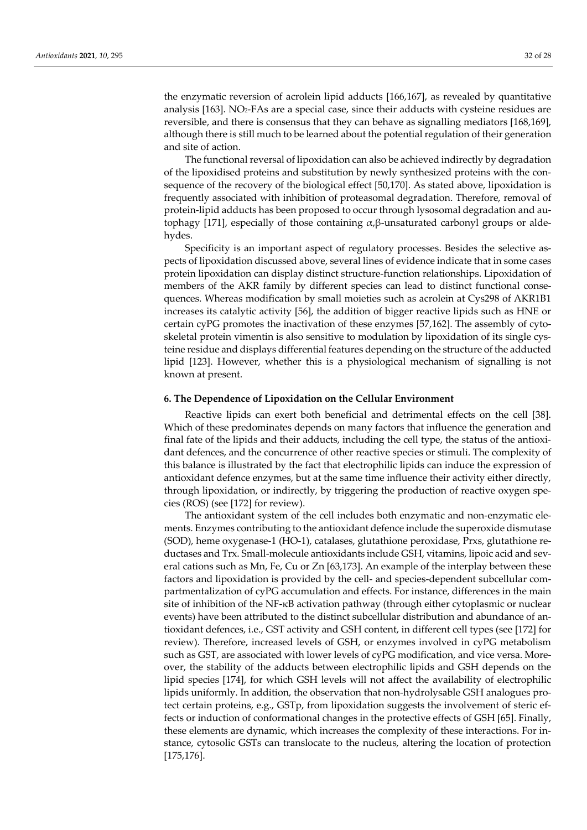the enzymatic reversion of acrolein lipid adducts [166,167], as revealed by quantitative analysis [163]. NO2-FAs are a special case, since their adducts with cysteine residues are reversible, and there is consensus that they can behave as signalling mediators [168,169], although there is still much to be learned about the potential regulation of their generation and site of action.

The functional reversal of lipoxidation can also be achieved indirectly by degradation of the lipoxidised proteins and substitution by newly synthesized proteins with the consequence of the recovery of the biological effect [50,170]. As stated above, lipoxidation is frequently associated with inhibition of proteasomal degradation. Therefore, removal of protein-lipid adducts has been proposed to occur through lysosomal degradation and autophagy [171], especially of those containing  $\alpha$ ,β-unsaturated carbonyl groups or aldehydes.

Specificity is an important aspect of regulatory processes. Besides the selective aspects of lipoxidation discussed above, several lines of evidence indicate that in some cases protein lipoxidation can display distinct structure-function relationships. Lipoxidation of members of the AKR family by different species can lead to distinct functional consequences. Whereas modification by small moieties such as acrolein at Cys298 of AKR1B1 increases its catalytic activity [56], the addition of bigger reactive lipids such as HNE or certain cyPG promotes the inactivation of these enzymes [57,162]. The assembly of cytoskeletal protein vimentin is also sensitive to modulation by lipoxidation of its single cysteine residue and displays differential features depending on the structure of the adducted lipid [123]. However, whether this is a physiological mechanism of signalling is not known at present.

#### **6. The Dependence of Lipoxidation on the Cellular Environment**

Reactive lipids can exert both beneficial and detrimental effects on the cell [38]. Which of these predominates depends on many factors that influence the generation and final fate of the lipids and their adducts, including the cell type, the status of the antioxidant defences, and the concurrence of other reactive species or stimuli. The complexity of this balance is illustrated by the fact that electrophilic lipids can induce the expression of antioxidant defence enzymes, but at the same time influence their activity either directly, through lipoxidation, or indirectly, by triggering the production of reactive oxygen species (ROS) (see [172] for review).

The antioxidant system of the cell includes both enzymatic and non-enzymatic elements. Enzymes contributing to the antioxidant defence include the superoxide dismutase (SOD), heme oxygenase-1 (HO-1), catalases, glutathione peroxidase, Prxs, glutathione reductases and Trx. Small-molecule antioxidants include GSH, vitamins, lipoic acid and several cations such as Mn, Fe, Cu or Zn [63,173]. An example of the interplay between these factors and lipoxidation is provided by the cell- and species-dependent subcellular compartmentalization of cyPG accumulation and effects. For instance, differences in the main site of inhibition of the NF-κB activation pathway (through either cytoplasmic or nuclear events) have been attributed to the distinct subcellular distribution and abundance of antioxidant defences, i.e., GST activity and GSH content, in different cell types (see [172] for review). Therefore, increased levels of GSH, or enzymes involved in cyPG metabolism such as GST, are associated with lower levels of cyPG modification, and vice versa. Moreover, the stability of the adducts between electrophilic lipids and GSH depends on the lipid species [174], for which GSH levels will not affect the availability of electrophilic lipids uniformly. In addition, the observation that non-hydrolysable GSH analogues protect certain proteins, e.g., GSTp, from lipoxidation suggests the involvement of steric effects or induction of conformational changes in the protective effects of GSH [65]. Finally, these elements are dynamic, which increases the complexity of these interactions. For instance, cytosolic GSTs can translocate to the nucleus, altering the location of protection [175,176].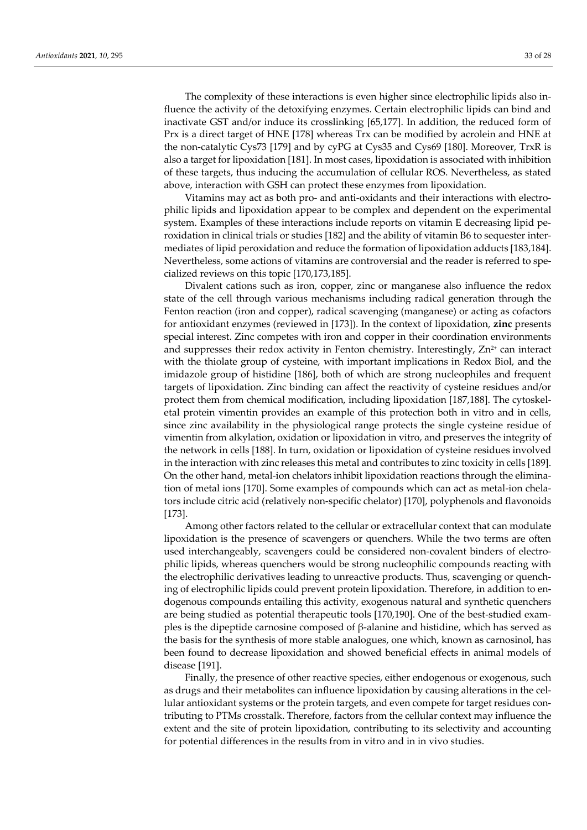The complexity of these interactions is even higher since electrophilic lipids also influence the activity of the detoxifying enzymes. Certain electrophilic lipids can bind and inactivate GST and/or induce its crosslinking [65,177]. In addition, the reduced form of Prx is a direct target of HNE [178] whereas Trx can be modified by acrolein and HNE at the non-catalytic Cys73 [179] and by cyPG at Cys35 and Cys69 [180]. Moreover, TrxR is also a target for lipoxidation [181]. In most cases, lipoxidation is associated with inhibition of these targets, thus inducing the accumulation of cellular ROS. Nevertheless, as stated above, interaction with GSH can protect these enzymes from lipoxidation.

Vitamins may act as both pro- and anti-oxidants and their interactions with electrophilic lipids and lipoxidation appear to be complex and dependent on the experimental system. Examples of these interactions include reports on vitamin E decreasing lipid peroxidation in clinical trials or studies [182] and the ability of vitamin B6 to sequester intermediates of lipid peroxidation and reduce the formation of lipoxidation adducts [183,184]. Nevertheless, some actions of vitamins are controversial and the reader is referred to specialized reviews on this topic [170,173,185].

Divalent cations such as iron, copper, zinc or manganese also influence the redox state of the cell through various mechanisms including radical generation through the Fenton reaction (iron and copper), radical scavenging (manganese) or acting as cofactors for antioxidant enzymes (reviewed in [173]). In the context of lipoxidation, **zinc** presents special interest. Zinc competes with iron and copper in their coordination environments and suppresses their redox activity in Fenton chemistry. Interestingly,  $Zn^{2+}$  can interact with the thiolate group of cysteine, with important implications in Redox Biol, and the imidazole group of histidine [186], both of which are strong nucleophiles and frequent targets of lipoxidation. Zinc binding can affect the reactivity of cysteine residues and/or protect them from chemical modification, including lipoxidation [187,188]. The cytoskeletal protein vimentin provides an example of this protection both in vitro and in cells, since zinc availability in the physiological range protects the single cysteine residue of vimentin from alkylation, oxidation or lipoxidation in vitro, and preserves the integrity of the network in cells [188]. In turn, oxidation or lipoxidation of cysteine residues involved in the interaction with zinc releases this metal and contributes to zinc toxicity in cells [189]. On the other hand, metal-ion chelators inhibit lipoxidation reactions through the elimination of metal ions [170]. Some examples of compounds which can act as metal-ion chelators include citric acid (relatively non-specific chelator) [170], polyphenols and flavonoids [173].

Among other factors related to the cellular or extracellular context that can modulate lipoxidation is the presence of scavengers or quenchers. While the two terms are often used interchangeably, scavengers could be considered non-covalent binders of electrophilic lipids, whereas quenchers would be strong nucleophilic compounds reacting with the electrophilic derivatives leading to unreactive products. Thus, scavenging or quenching of electrophilic lipids could prevent protein lipoxidation. Therefore, in addition to endogenous compounds entailing this activity, exogenous natural and synthetic quenchers are being studied as potential therapeutic tools [170,190]. One of the best-studied examples is the dipeptide carnosine composed of β-alanine and histidine, which has served as the basis for the synthesis of more stable analogues, one which, known as carnosinol, has been found to decrease lipoxidation and showed beneficial effects in animal models of disease [191].

Finally, the presence of other reactive species, either endogenous or exogenous, such as drugs and their metabolites can influence lipoxidation by causing alterations in the cellular antioxidant systems or the protein targets, and even compete for target residues contributing to PTMs crosstalk. Therefore, factors from the cellular context may influence the extent and the site of protein lipoxidation, contributing to its selectivity and accounting for potential differences in the results from in vitro and in in vivo studies.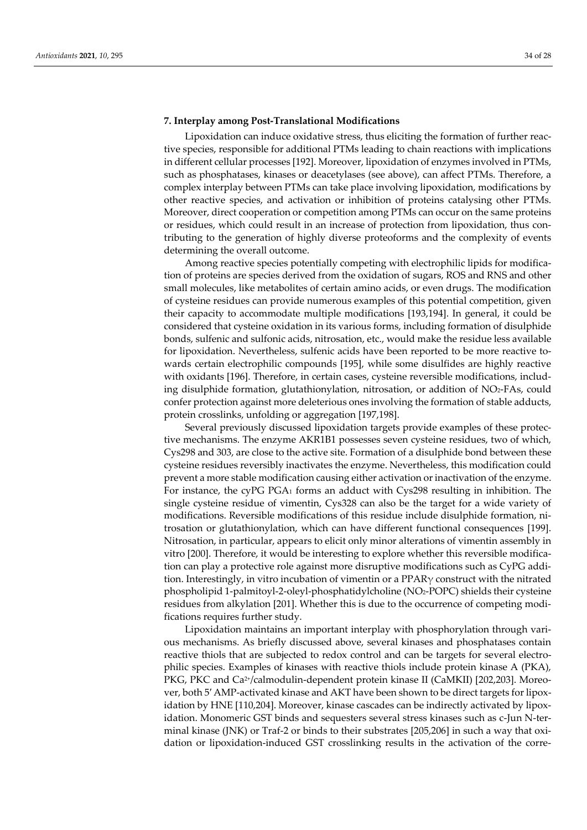#### **7. Interplay among Post-Translational Modifications**

Lipoxidation can induce oxidative stress, thus eliciting the formation of further reactive species, responsible for additional PTMs leading to chain reactions with implications in different cellular processes [192]. Moreover, lipoxidation of enzymes involved in PTMs, such as phosphatases, kinases or deacetylases (see above), can affect PTMs. Therefore, a complex interplay between PTMs can take place involving lipoxidation, modifications by other reactive species, and activation or inhibition of proteins catalysing other PTMs. Moreover, direct cooperation or competition among PTMs can occur on the same proteins or residues, which could result in an increase of protection from lipoxidation, thus contributing to the generation of highly diverse proteoforms and the complexity of events determining the overall outcome.

Among reactive species potentially competing with electrophilic lipids for modification of proteins are species derived from the oxidation of sugars, ROS and RNS and other small molecules, like metabolites of certain amino acids, or even drugs. The modification of cysteine residues can provide numerous examples of this potential competition, given their capacity to accommodate multiple modifications [193,194]. In general, it could be considered that cysteine oxidation in its various forms, including formation of disulphide bonds, sulfenic and sulfonic acids, nitrosation, etc., would make the residue less available for lipoxidation. Nevertheless, sulfenic acids have been reported to be more reactive towards certain electrophilic compounds [195], while some disulfides are highly reactive with oxidants [196]. Therefore, in certain cases, cysteine reversible modifications, including disulphide formation, glutathionylation, nitrosation, or addition of NO2-FAs, could confer protection against more deleterious ones involving the formation of stable adducts, protein crosslinks, unfolding or aggregation [197,198].

Several previously discussed lipoxidation targets provide examples of these protective mechanisms. The enzyme AKR1B1 possesses seven cysteine residues, two of which, Cys298 and 303, are close to the active site. Formation of a disulphide bond between these cysteine residues reversibly inactivates the enzyme. Nevertheless, this modification could prevent a more stable modification causing either activation or inactivation of the enzyme. For instance, the cyPG PGA<sup>1</sup> forms an adduct with Cys298 resulting in inhibition. The single cysteine residue of vimentin, Cys328 can also be the target for a wide variety of modifications. Reversible modifications of this residue include disulphide formation, nitrosation or glutathionylation, which can have different functional consequences [199]. Nitrosation, in particular, appears to elicit only minor alterations of vimentin assembly in vitro [200]. Therefore, it would be interesting to explore whether this reversible modification can play a protective role against more disruptive modifications such as CyPG addition. Interestingly, in vitro incubation of vimentin or a  $PPAR\gamma$  construct with the nitrated phospholipid 1-palmitoyl-2-oleyl-phosphatidylcholine (NO2-POPC) shields their cysteine residues from alkylation [201]. Whether this is due to the occurrence of competing modifications requires further study.

Lipoxidation maintains an important interplay with phosphorylation through various mechanisms. As briefly discussed above, several kinases and phosphatases contain reactive thiols that are subjected to redox control and can be targets for several electrophilic species. Examples of kinases with reactive thiols include protein kinase A (PKA), PKG, PKC and Ca<sup>2+</sup>/calmodulin-dependent protein kinase II (CaMKII) [202,203]. Moreover, both 5′ AMP-activated kinase and AKT have been shown to be direct targets for lipoxidation by HNE [110,204]. Moreover, kinase cascades can be indirectly activated by lipoxidation. Monomeric GST binds and sequesters several stress kinases such as c-Jun N-terminal kinase (JNK) or Traf-2 or binds to their substrates [205,206] in such a way that oxidation or lipoxidation-induced GST crosslinking results in the activation of the corre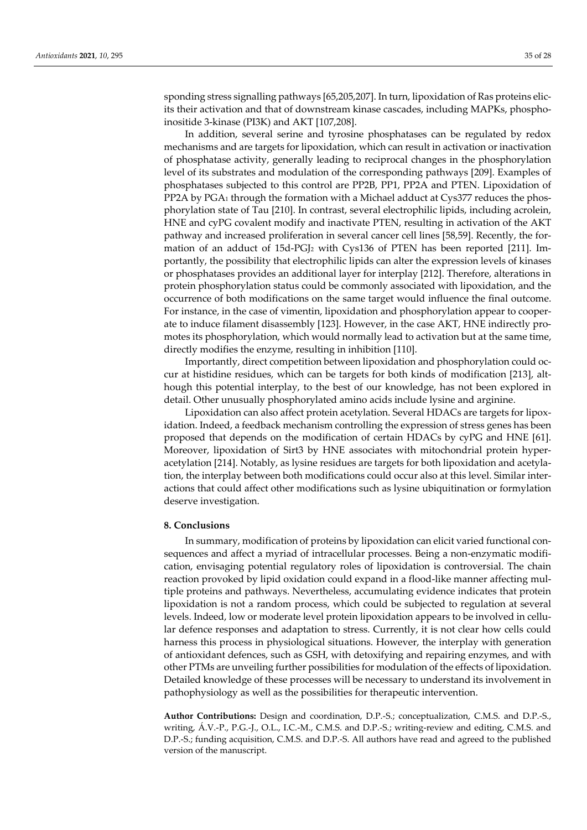sponding stress signalling pathways [65,205,207]. In turn, lipoxidation of Ras proteins elicits their activation and that of downstream kinase cascades, including MAPKs, phosphoinositide 3-kinase (PI3K) and AKT [107,208].

In addition, several serine and tyrosine phosphatases can be regulated by redox mechanisms and are targets for lipoxidation, which can result in activation or inactivation of phosphatase activity, generally leading to reciprocal changes in the phosphorylation level of its substrates and modulation of the corresponding pathways [209]. Examples of phosphatases subjected to this control are PP2B, PP1, PP2A and PTEN. Lipoxidation of PP2A by PGA<sub>1</sub> through the formation with a Michael adduct at Cys377 reduces the phosphorylation state of Tau [210]. In contrast, several electrophilic lipids, including acrolein, HNE and cyPG covalent modify and inactivate PTEN, resulting in activation of the AKT pathway and increased proliferation in several cancer cell lines [58,59]. Recently, the formation of an adduct of 15d-PGJ<sup>2</sup> with Cys136 of PTEN has been reported [211]. Importantly, the possibility that electrophilic lipids can alter the expression levels of kinases or phosphatases provides an additional layer for interplay [212]. Therefore, alterations in protein phosphorylation status could be commonly associated with lipoxidation, and the occurrence of both modifications on the same target would influence the final outcome. For instance, in the case of vimentin, lipoxidation and phosphorylation appear to cooperate to induce filament disassembly [123]. However, in the case AKT, HNE indirectly promotes its phosphorylation, which would normally lead to activation but at the same time, directly modifies the enzyme, resulting in inhibition [110].

Importantly, direct competition between lipoxidation and phosphorylation could occur at histidine residues, which can be targets for both kinds of modification [213], although this potential interplay, to the best of our knowledge, has not been explored in detail. Other unusually phosphorylated amino acids include lysine and arginine.

Lipoxidation can also affect protein acetylation. Several HDACs are targets for lipoxidation. Indeed, a feedback mechanism controlling the expression of stress genes has been proposed that depends on the modification of certain HDACs by cyPG and HNE [61]. Moreover, lipoxidation of Sirt3 by HNE associates with mitochondrial protein hyperacetylation [214]. Notably, as lysine residues are targets for both lipoxidation and acetylation, the interplay between both modifications could occur also at this level. Similar interactions that could affect other modifications such as lysine ubiquitination or formylation deserve investigation.

#### **8. Conclusions**

In summary, modification of proteins by lipoxidation can elicit varied functional consequences and affect a myriad of intracellular processes. Being a non-enzymatic modification, envisaging potential regulatory roles of lipoxidation is controversial. The chain reaction provoked by lipid oxidation could expand in a flood-like manner affecting multiple proteins and pathways. Nevertheless, accumulating evidence indicates that protein lipoxidation is not a random process, which could be subjected to regulation at several levels. Indeed, low or moderate level protein lipoxidation appears to be involved in cellular defence responses and adaptation to stress. Currently, it is not clear how cells could harness this process in physiological situations. However, the interplay with generation of antioxidant defences, such as GSH, with detoxifying and repairing enzymes, and with other PTMs are unveiling further possibilities for modulation of the effects of lipoxidation. Detailed knowledge of these processes will be necessary to understand its involvement in pathophysiology as well as the possibilities for therapeutic intervention.

**Author Contributions:** Design and coordination, D.P.-S.; conceptualization, C.M.S. and D.P.-S., writing, Á .V.-P., P.G.-J., O.L., I.C.-M., C.M.S. and D.P.-S.; writing-review and editing, C.M.S. and D.P.-S.; funding acquisition, C.M.S. and D.P.-S. All authors have read and agreed to the published version of the manuscript.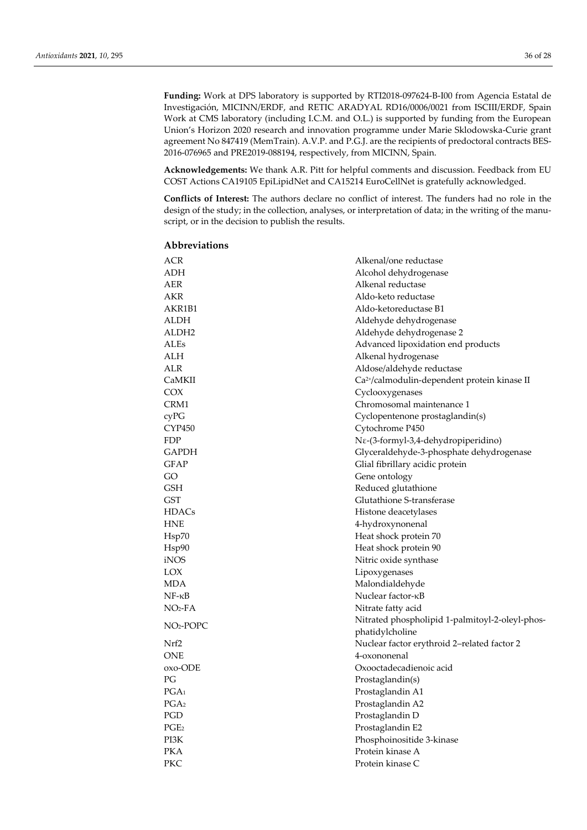**Funding:** Work at DPS laboratory is supported by RTI2018-097624-B-I00 from Agencia Estatal de Investigación, MICINN/ERDF, and RETIC ARADYAL RD16/0006/0021 from ISCIII/ERDF, Spain Work at CMS laboratory (including I.C.M. and O.L.) is supported by funding from the European Union's Horizon 2020 research and innovation programme under Marie Sklodowska-Curie grant agreement No 847419 (MemTrain). A.V.P. and P.G.J. are the recipients of predoctoral contracts BES-2016-076965 and PRE2019-088194, respectively, from MICINN, Spain.

**Acknowledgements:** We thank A.R. Pitt for helpful comments and discussion. Feedback from EU COST Actions CA19105 EpiLipidNet and CA15214 EuroCellNet is gratefully acknowledged.

**Conflicts of Interest:** The authors declare no conflict of interest. The funders had no role in the design of the study; in the collection, analyses, or interpretation of data; in the writing of the manuscript, or in the decision to publish the results.

### **Abbreviations**

| ACR               | Alkenal/one reductase                                              |
|-------------------|--------------------------------------------------------------------|
| ADH               | Alcohol dehydrogenase                                              |
| AER               | Alkenal reductase                                                  |
| AKR               | Aldo-keto reductase                                                |
| AKR1B1            | Aldo-ketoreductase B1                                              |
| ALDH              | Aldehyde dehydrogenase                                             |
| ALDH <sub>2</sub> | Aldehyde dehydrogenase 2                                           |
| <b>ALEs</b>       | Advanced lipoxidation end products                                 |
| ALH               | Alkenal hydrogenase                                                |
| ALR               | Aldose/aldehyde reductase                                          |
| CaMKII            | Ca <sup>2+</sup> /calmodulin-dependent protein kinase II           |
| COX               | Cyclooxygenases                                                    |
| CRM1              | Chromosomal maintenance 1                                          |
| cyPG              | Cyclopentenone prostaglandin(s)                                    |
| CYP450            | Cytochrome P450                                                    |
| FDP               | Νε-(3-formyl-3,4-dehydropiperidino)                                |
| <b>GAPDH</b>      | Glyceraldehyde-3-phosphate dehydrogenase                           |
| <b>GFAP</b>       | Glial fibrillary acidic protein                                    |
| GO                | Gene ontology                                                      |
| <b>GSH</b>        | Reduced glutathione                                                |
| <b>GST</b>        | Glutathione S-transferase                                          |
| <b>HDACs</b>      | Histone deacetylases                                               |
| <b>HNE</b>        | 4-hydroxynonenal                                                   |
| Hsp70             | Heat shock protein 70                                              |
| Hsp90             | Heat shock protein 90                                              |
| iNOS              | Nitric oxide synthase                                              |
| LOX               | Lipoxygenases                                                      |
| MDA               | Malondialdehyde                                                    |
| $NF - \kappa B$   | Nuclear factor- <sub>KB</sub>                                      |
| $NO2-FA$          | Nitrate fatty acid                                                 |
| $NO2-POPC$        | Nitrated phospholipid 1-palmitoyl-2-oleyl-phos-<br>phatidylcholine |
| Nrf2              | Nuclear factor erythroid 2-related factor 2                        |
| <b>ONE</b>        | 4-oxononenal                                                       |
| oxo-ODE           | Oxooctadecadienoic acid                                            |
| РG                | Prostaglandin(s)                                                   |
| PGA <sub>1</sub>  | Prostaglandin A1                                                   |
| PGA <sub>2</sub>  | Prostaglandin A2                                                   |
| PGD               | Prostaglandin D                                                    |
| PGE <sub>2</sub>  | Prostaglandin E2                                                   |
| PI3K              | Phosphoinositide 3-kinase                                          |
| <b>PKA</b>        | Protein kinase A                                                   |
| <b>PKC</b>        | Protein kinase C                                                   |
|                   |                                                                    |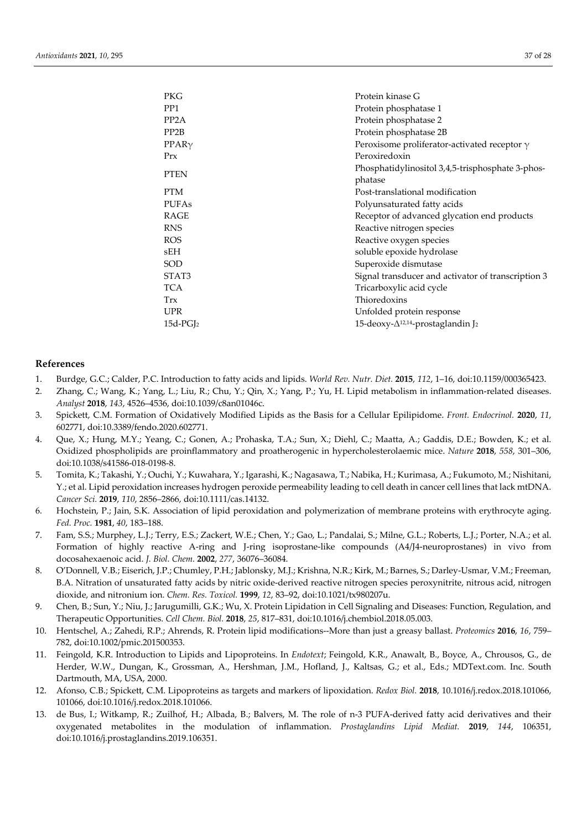| <b>PKG</b>              | Protein kinase G                                    |
|-------------------------|-----------------------------------------------------|
| PP1                     | Protein phosphatase 1                               |
| PP <sub>2</sub> A       | Protein phosphatase 2                               |
| PP <sub>2</sub> B       | Protein phosphatase 2B                              |
| PPAR <sub>Y</sub>       | Peroxisome proliferator-activated receptor $\gamma$ |
| PrX                     | Peroxiredoxin                                       |
|                         | Phosphatidylinositol 3,4,5-trisphosphate 3-phos-    |
| <b>PTEN</b>             | phatase                                             |
| <b>PTM</b>              | Post-translational modification                     |
| <b>PUFAs</b>            | Polyunsaturated fatty acids                         |
| <b>RAGE</b>             | Receptor of advanced glycation end products         |
| <b>RNS</b>              | Reactive nitrogen species                           |
| <b>ROS</b>              | Reactive oxygen species                             |
| sEH                     | soluble epoxide hydrolase                           |
| SOD                     | Superoxide dismutase                                |
| STAT3                   | Signal transducer and activator of transcription 3  |
| <b>TCA</b>              | Tricarboxylic acid cycle                            |
| Trx                     | Thioredoxins                                        |
| <b>UPR</b>              | Unfolded protein response                           |
| $15d$ -PGJ <sub>2</sub> | 15-deoxy- $\Delta^{12,14}$ -prostaglandin J2        |
|                         |                                                     |

#### **References**

- 1. Burdge, G.C.; Calder, P.C. Introduction to fatty acids and lipids. *World Rev. Nutr. Diet.* **2015**, *112*, 1–16, doi:10.1159/000365423.
- 2. Zhang, C.; Wang, K.; Yang, L.; Liu, R.; Chu, Y.; Qin, X.; Yang, P.; Yu, H. Lipid metabolism in inflammation-related diseases. *Analyst* **2018**, *143*, 4526–4536, doi:10.1039/c8an01046c.
- 3. Spickett, C.M. Formation of Oxidatively Modified Lipids as the Basis for a Cellular Epilipidome. *Front. Endocrinol.* **2020**, *11*, 602771, doi:10.3389/fendo.2020.602771.
- 4. Que, X.; Hung, M.Y.; Yeang, C.; Gonen, A.; Prohaska, T.A.; Sun, X.; Diehl, C.; Maatta, A.; Gaddis, D.E.; Bowden, K.; et al. Oxidized phospholipids are proinflammatory and proatherogenic in hypercholesterolaemic mice. *Nature* **2018**, *558*, 301–306, doi:10.1038/s41586-018-0198-8.
- 5. Tomita, K.; Takashi, Y.; Ouchi, Y.; Kuwahara, Y.; Igarashi, K.; Nagasawa, T.; Nabika, H.; Kurimasa, A.; Fukumoto, M.; Nishitani, Y.; et al. Lipid peroxidation increases hydrogen peroxide permeability leading to cell death in cancer cell lines that lack mtDNA. *Cancer Sci.* **2019**, *110*, 2856–2866, doi:10.1111/cas.14132.
- 6. Hochstein, P.; Jain, S.K. Association of lipid peroxidation and polymerization of membrane proteins with erythrocyte aging. *Fed. Proc.* **1981**, *40*, 183–188.
- 7. Fam, S.S.; Murphey, L.J.; Terry, E.S.; Zackert, W.E.; Chen, Y.; Gao, L.; Pandalai, S.; Milne, G.L.; Roberts, L.J.; Porter, N.A.; et al. Formation of highly reactive A-ring and J-ring isoprostane-like compounds (A4/J4-neuroprostanes) in vivo from docosahexaenoic acid. *J. Biol. Chem.* **2002**, *277*, 36076–36084.
- 8. O'Donnell, V.B.; Eiserich, J.P.; Chumley, P.H.; Jablonsky, M.J.; Krishna, N.R.; Kirk, M.; Barnes, S.; Darley-Usmar, V.M.; Freeman, B.A. Nitration of unsaturated fatty acids by nitric oxide-derived reactive nitrogen species peroxynitrite, nitrous acid, nitrogen dioxide, and nitronium ion. *Chem. Res. Toxicol.* **1999**, *12*, 83–92, doi:10.1021/tx980207u.
- 9. Chen, B.; Sun, Y.; Niu, J.; Jarugumilli, G.K.; Wu, X. Protein Lipidation in Cell Signaling and Diseases: Function, Regulation, and Therapeutic Opportunities. *Cell Chem. Biol.* **2018**, *25*, 817–831, doi:10.1016/j.chembiol.2018.05.003.
- 10. Hentschel, A.; Zahedi, R.P.; Ahrends, R. Protein lipid modifications--More than just a greasy ballast. *Proteomics* **2016**, *16*, 759– 782, doi:10.1002/pmic.201500353.
- 11. Feingold, K.R. Introduction to Lipids and Lipoproteins. In *Endotext*; Feingold, K.R., Anawalt, B., Boyce, A., Chrousos, G., de Herder, W.W., Dungan, K., Grossman, A., Hershman, J.M., Hofland, J., Kaltsas, G.; et al., Eds.; MDText.com. Inc. South Dartmouth, MA, USA, 2000.
- 12. Afonso, C.B.; Spickett, C.M. Lipoproteins as targets and markers of lipoxidation. *Redox Biol.* **2018**, 10.1016/j.redox.2018.101066, 101066, doi:10.1016/j.redox.2018.101066.
- 13. de Bus, I.; Witkamp, R.; Zuilhof, H.; Albada, B.; Balvers, M. The role of n-3 PUFA-derived fatty acid derivatives and their oxygenated metabolites in the modulation of inflammation. *Prostaglandins Lipid Mediat.* **2019**, *144*, 106351, doi:10.1016/j.prostaglandins.2019.106351.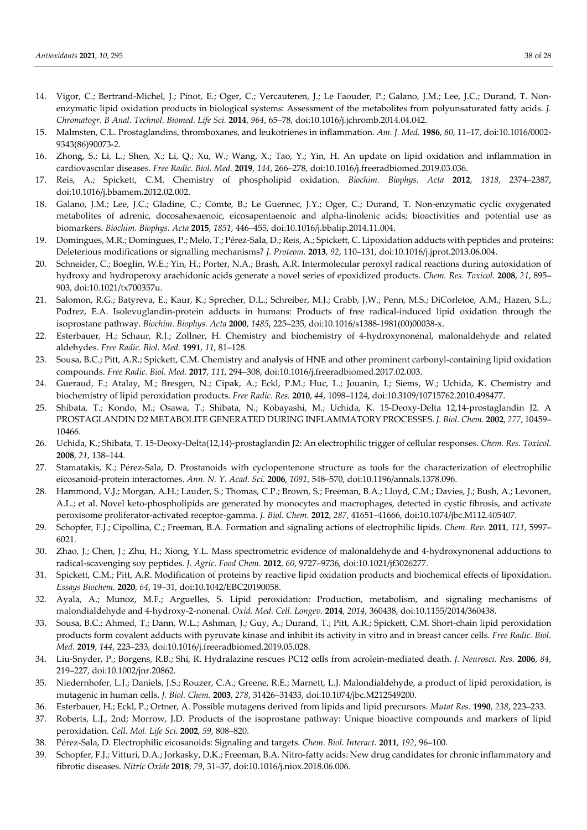- 14. Vigor, C.; Bertrand-Michel, J.; Pinot, E.; Oger, C.; Vercauteren, J.; Le Faouder, P.; Galano, J.M.; Lee, J.C.; Durand, T. Nonenzymatic lipid oxidation products in biological systems: Assessment of the metabolites from polyunsaturated fatty acids. *J. Chromatogr. B Anal. Technol. Biomed. Life Sci.* **2014**, *964*, 65–78, doi:10.1016/j.jchromb.2014.04.042.
- 15. Malmsten, C.L. Prostaglandins, thromboxanes, and leukotrienes in inflammation. *Am. J. Med.* **1986**, *80*, 11–17, doi:10.1016/0002- 9343(86)90073-2.
- 16. Zhong, S.; Li, L.; Shen, X.; Li, Q.; Xu, W.; Wang, X.; Tao, Y.; Yin, H. An update on lipid oxidation and inflammation in cardiovascular diseases. *Free Radic. Biol. Med.* **2019**, *144*, 266–278, doi:10.1016/j.freeradbiomed.2019.03.036.
- 17. Reis, A.; Spickett, C.M. Chemistry of phospholipid oxidation. *Biochim. Biophys. Acta* **2012**, *1818*, 2374–2387, doi:10.1016/j.bbamem.2012.02.002.
- 18. Galano, J.M.; Lee, J.C.; Gladine, C.; Comte, B.; Le Guennec, J.Y.; Oger, C.; Durand, T. Non-enzymatic cyclic oxygenated metabolites of adrenic, docosahexaenoic, eicosapentaenoic and alpha-linolenic acids; bioactivities and potential use as biomarkers. *Biochim. Biophys. Acta* **2015**, *1851*, 446–455, doi:10.1016/j.bbalip.2014.11.004.
- 19. Domingues, M.R.; Domingues, P.; Melo, T.; Pérez-Sala, D.; Reis, A.; Spickett, C. Lipoxidation adducts with peptides and proteins: Deleterious modifications or signalling mechanisms? *J. Proteom.* **2013**, *92*, 110–131, doi:10.1016/j.jprot.2013.06.004.
- 20. Schneider, C.; Boeglin, W.E.; Yin, H.; Porter, N.A.; Brash, A.R. Intermolecular peroxyl radical reactions during autoxidation of hydroxy and hydroperoxy arachidonic acids generate a novel series of epoxidized products. *Chem. Res. Toxicol.* **2008**, *21*, 895– 903, doi:10.1021/tx700357u.
- 21. Salomon, R.G.; Batyreva, E.; Kaur, K.; Sprecher, D.L.; Schreiber, M.J.; Crabb, J.W.; Penn, M.S.; DiCorletoe, A.M.; Hazen, S.L.; Podrez, E.A. Isolevuglandin-protein adducts in humans: Products of free radical-induced lipid oxidation through the isoprostane pathway. *Biochim. Biophys. Acta* **2000**, *1485*, 225–235, doi:10.1016/s1388-1981(00)00038-x.
- 22. Esterbauer, H.; Schaur, R.J.; Zollner, H. Chemistry and biochemistry of 4-hydroxynonenal, malonaldehyde and related aldehydes. *Free Radic. Biol. Med.* **1991**, *11*, 81–128.
- 23. Sousa, B.C.; Pitt, A.R.; Spickett, C.M. Chemistry and analysis of HNE and other prominent carbonyl-containing lipid oxidation compounds. *Free Radic. Biol. Med.* **2017**, *111*, 294–308, doi:10.1016/j.freeradbiomed.2017.02.003.
- 24. Gueraud, F.; Atalay, M.; Bresgen, N.; Cipak, A.; Eckl, P.M.; Huc, L.; Jouanin, I.; Siems, W.; Uchida, K. Chemistry and biochemistry of lipid peroxidation products. *Free Radic. Res.* **2010**, *44*, 1098–1124, doi:10.3109/10715762.2010.498477.
- 25. Shibata, T.; Kondo, M.; Osawa, T.; Shibata, N.; Kobayashi, M.; Uchida, K. 15-Deoxy-Delta 12,14-prostaglandin J2. A PROSTAGLANDIN D2 METABOLITE GENERATED DURING INFLAMMATORY PROCESSES. *J. Biol. Chem.* **2002**, *277*, 10459– 10466.
- 26. Uchida, K.; Shibata, T. 15-Deoxy-Delta(12,14)-prostaglandin J2: An electrophilic trigger of cellular responses. *Chem. Res. Toxicol.*  **2008**, *21*, 138–144.
- 27. Stamatakis, K.; Pérez-Sala, D. Prostanoids with cyclopentenone structure as tools for the characterization of electrophilic eicosanoid-protein interactomes. *Ann. N. Y. Acad. Sci.* **2006**, *1091*, 548–570, doi:10.1196/annals.1378.096.
- 28. Hammond, V.J.; Morgan, A.H.; Lauder, S.; Thomas, C.P.; Brown, S.; Freeman, B.A.; Lloyd, C.M.; Davies, J.; Bush, A.; Levonen, A.L.; et al. Novel keto-phospholipids are generated by monocytes and macrophages, detected in cystic fibrosis, and activate peroxisome proliferator-activated receptor-gamma. *J. Biol. Chem.* **2012**, *287*, 41651–41666, doi:10.1074/jbc.M112.405407.
- 29. Schopfer, F.J.; Cipollina, C.; Freeman, B.A. Formation and signaling actions of electrophilic lipids. *Chem. Rev.* **2011**, *111*, 5997– 6021.
- 30. Zhao, J.; Chen, J.; Zhu, H.; Xiong, Y.L. Mass spectrometric evidence of malonaldehyde and 4-hydroxynonenal adductions to radical-scavenging soy peptides. *J. Agric. Food Chem.* **2012**, *60*, 9727–9736, doi:10.1021/jf3026277.
- 31. Spickett, C.M.; Pitt, A.R. Modification of proteins by reactive lipid oxidation products and biochemical effects of lipoxidation. *Essays Biochem.* **2020**, *64*, 19–31, doi:10.1042/EBC20190058.
- 32. Ayala, A.; Munoz, M.F.; Arguelles, S. Lipid peroxidation: Production, metabolism, and signaling mechanisms of malondialdehyde and 4-hydroxy-2-nonenal. *Oxid. Med. Cell. Longev.* **2014**, *2014*, 360438, doi:10.1155/2014/360438.
- 33. Sousa, B.C.; Ahmed, T.; Dann, W.L.; Ashman, J.; Guy, A.; Durand, T.; Pitt, A.R.; Spickett, C.M. Short-chain lipid peroxidation products form covalent adducts with pyruvate kinase and inhibit its activity in vitro and in breast cancer cells. *Free Radic. Biol. Med.* **2019**, *144*, 223–233, doi:10.1016/j.freeradbiomed.2019.05.028.
- 34. Liu-Snyder, P.; Borgens, R.B.; Shi, R. Hydralazine rescues PC12 cells from acrolein-mediated death. *J. Neurosci. Res.* **2006**, *84*, 219–227, doi:10.1002/jnr.20862.
- 35. Niedernhofer, L.J.; Daniels, J.S.; Rouzer, C.A.; Greene, R.E.; Marnett, L.J. Malondialdehyde, a product of lipid peroxidation, is mutagenic in human cells. *J. Biol. Chem.* **2003**, *278*, 31426–31433, doi:10.1074/jbc.M212549200.
- 36. Esterbauer, H.; Eckl, P.; Ortner, A. Possible mutagens derived from lipids and lipid precursors. *Mutat Res.* **1990**, *238*, 223–233.
- 37. Roberts, L.J., 2nd; Morrow, J.D. Products of the isoprostane pathway: Unique bioactive compounds and markers of lipid peroxidation. *Cell. Mol. Life Sci.* **2002**, *59*, 808–820.
- 38. Pérez-Sala, D. Electrophilic eicosanoids: Signaling and targets. *Chem. Biol. Interact.* **2011**, *192*, 96–100.
- 39. Schopfer, F.J.; Vitturi, D.A.; Jorkasky, D.K.; Freeman, B.A. Nitro-fatty acids: New drug candidates for chronic inflammatory and fibrotic diseases. *Nitric Oxide* **2018**, *79*, 31–37, doi:10.1016/j.niox.2018.06.006.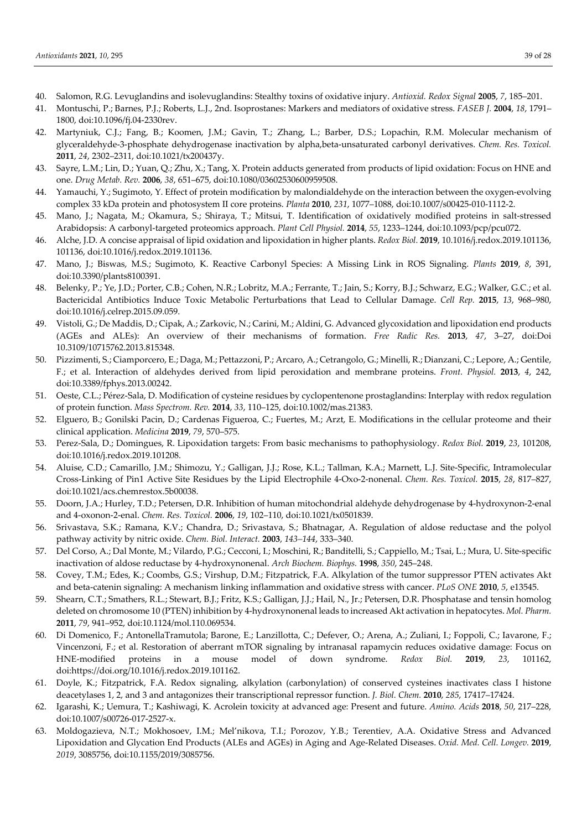- 40. Salomon, R.G. Levuglandins and isolevuglandins: Stealthy toxins of oxidative injury. *Antioxid. Redox Signal* **2005**, *7*, 185–201.
- 41. Montuschi, P.; Barnes, P.J.; Roberts, L.J., 2nd. Isoprostanes: Markers and mediators of oxidative stress. *FASEB J.* **2004**, *18*, 1791– 1800, doi:10.1096/fj.04-2330rev.
- 42. Martyniuk, C.J.; Fang, B.; Koomen, J.M.; Gavin, T.; Zhang, L.; Barber, D.S.; Lopachin, R.M. Molecular mechanism of glyceraldehyde-3-phosphate dehydrogenase inactivation by alpha,beta-unsaturated carbonyl derivatives. *Chem. Res. Toxicol.*  **2011**, *24*, 2302–2311, doi:10.1021/tx200437y.
- 43. Sayre, L.M.; Lin, D.; Yuan, Q.; Zhu, X.; Tang, X. Protein adducts generated from products of lipid oxidation: Focus on HNE and one. *Drug Metab. Rev.* **2006**, *38*, 651–675, doi:10.1080/03602530600959508.
- 44. Yamauchi, Y.; Sugimoto, Y. Effect of protein modification by malondialdehyde on the interaction between the oxygen-evolving complex 33 kDa protein and photosystem II core proteins. *Planta* **2010**, *231*, 1077–1088, doi:10.1007/s00425-010-1112-2.
- 45. Mano, J.; Nagata, M.; Okamura, S.; Shiraya, T.; Mitsui, T. Identification of oxidatively modified proteins in salt-stressed Arabidopsis: A carbonyl-targeted proteomics approach. *Plant Cell Physiol.* **2014**, *55*, 1233–1244, doi:10.1093/pcp/pcu072.
- 46. Alche, J.D. A concise appraisal of lipid oxidation and lipoxidation in higher plants. *Redox Biol.* **2019**, 10.1016/j.redox.2019.101136, 101136, doi:10.1016/j.redox.2019.101136.
- 47. Mano, J.; Biswas, M.S.; Sugimoto, K. Reactive Carbonyl Species: A Missing Link in ROS Signaling. *Plants* **2019**, *8*, 391, doi:10.3390/plants8100391.
- 48. Belenky, P.; Ye, J.D.; Porter, C.B.; Cohen, N.R.; Lobritz, M.A.; Ferrante, T.; Jain, S.; Korry, B.J.; Schwarz, E.G.; Walker, G.C.; et al. Bactericidal Antibiotics Induce Toxic Metabolic Perturbations that Lead to Cellular Damage. *Cell Rep.* **2015**, *13*, 968–980, doi:10.1016/j.celrep.2015.09.059.
- 49. Vistoli, G.; De Maddis, D.; Cipak, A.; Zarkovic, N.; Carini, M.; Aldini, G. Advanced glycoxidation and lipoxidation end products (AGEs and ALEs): An overview of their mechanisms of formation. *Free Radic Res.* **2013**, *47*, 3–27, doi:Doi 10.3109/10715762.2013.815348.
- 50. Pizzimenti, S.; Ciamporcero, E.; Daga, M.; Pettazzoni, P.; Arcaro, A.; Cetrangolo, G.; Minelli, R.; Dianzani, C.; Lepore, A.; Gentile, F.; et al. Interaction of aldehydes derived from lipid peroxidation and membrane proteins. *Front. Physiol.* **2013**, *4*, 242, doi:10.3389/fphys.2013.00242.
- 51. Oeste, C.L.; Pérez-Sala, D. Modification of cysteine residues by cyclopentenone prostaglandins: Interplay with redox regulation of protein function. *Mass Spectrom. Rev.* **2014**, *33*, 110–125, doi:10.1002/mas.21383.
- 52. Elguero, B.; Gonilski Pacin, D.; Cardenas Figueroa, C.; Fuertes, M.; Arzt, E. Modifications in the cellular proteome and their clinical application. *Medicina* **2019**, *79*, 570–575.
- 53. Perez-Sala, D.; Domingues, R. Lipoxidation targets: From basic mechanisms to pathophysiology. *Redox Biol.* **2019**, *23*, 101208, doi:10.1016/j.redox.2019.101208.
- 54. Aluise, C.D.; Camarillo, J.M.; Shimozu, Y.; Galligan, J.J.; Rose, K.L.; Tallman, K.A.; Marnett, L.J. Site-Specific, Intramolecular Cross-Linking of Pin1 Active Site Residues by the Lipid Electrophile 4-Oxo-2-nonenal. *Chem. Res. Toxicol.* **2015**, *28*, 817–827, doi:10.1021/acs.chemrestox.5b00038.
- 55. Doorn, J.A.; Hurley, T.D.; Petersen, D.R. Inhibition of human mitochondrial aldehyde dehydrogenase by 4-hydroxynon-2-enal and 4-oxonon-2-enal. *Chem. Res. Toxicol.* **2006**, *19*, 102–110, doi:10.1021/tx0501839.
- 56. Srivastava, S.K.; Ramana, K.V.; Chandra, D.; Srivastava, S.; Bhatnagar, A. Regulation of aldose reductase and the polyol pathway activity by nitric oxide. *Chem. Biol. Interact.* **2003**, *143–144*, 333–340.
- 57. Del Corso, A.; Dal Monte, M.; Vilardo, P.G.; Cecconi, I.; Moschini, R.; Banditelli, S.; Cappiello, M.; Tsai, L.; Mura, U. Site-specific inactivation of aldose reductase by 4-hydroxynonenal. *Arch Biochem. Biophys.* **1998**, *350*, 245–248.
- 58. Covey, T.M.; Edes, K.; Coombs, G.S.; Virshup, D.M.; Fitzpatrick, F.A. Alkylation of the tumor suppressor PTEN activates Akt and beta-catenin signaling: A mechanism linking inflammation and oxidative stress with cancer. *PLoS ONE* **2010**, *5*, e13545.
- 59. Shearn, C.T.; Smathers, R.L.; Stewart, B.J.; Fritz, K.S.; Galligan, J.J.; Hail, N., Jr.; Petersen, D.R. Phosphatase and tensin homolog deleted on chromosome 10 (PTEN) inhibition by 4-hydroxynonenal leads to increased Akt activation in hepatocytes. *Mol. Pharm.*  **2011**, *79*, 941–952, doi:10.1124/mol.110.069534.
- 60. Di Domenico, F.; AntonellaTramutola; Barone, E.; Lanzillotta, C.; Defever, O.; Arena, A.; Zuliani, I.; Foppoli, C.; Iavarone, F.; Vincenzoni, F.; et al. Restoration of aberrant mTOR signaling by intranasal rapamycin reduces oxidative damage: Focus on HNE-modified proteins in a mouse model of down syndrome. *Redox Biol.* **2019**, *23*, 101162, doi:https://doi.org/10.1016/j.redox.2019.101162.
- 61. Doyle, K.; Fitzpatrick, F.A. Redox signaling, alkylation (carbonylation) of conserved cysteines inactivates class I histone deacetylases 1, 2, and 3 and antagonizes their transcriptional repressor function. *J. Biol. Chem.* **2010**, *285*, 17417–17424.
- 62. Igarashi, K.; Uemura, T.; Kashiwagi, K. Acrolein toxicity at advanced age: Present and future. *Amino. Acids* **2018**, *50*, 217–228, doi:10.1007/s00726-017-2527-x.
- 63. Moldogazieva, N.T.; Mokhosoev, I.M.; Mel'nikova, T.I.; Porozov, Y.B.; Terentiev, A.A. Oxidative Stress and Advanced Lipoxidation and Glycation End Products (ALEs and AGEs) in Aging and Age-Related Diseases. *Oxid. Med. Cell. Longev.* **2019**, *2019*, 3085756, doi:10.1155/2019/3085756.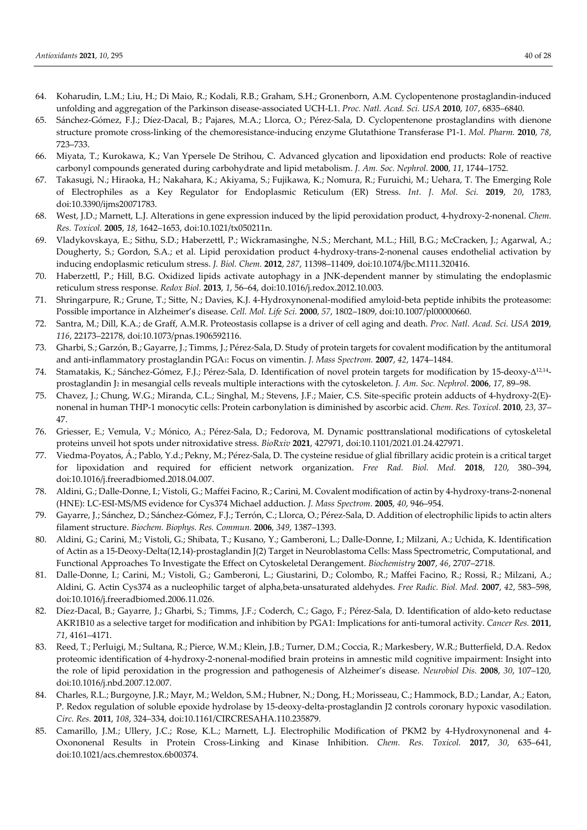- 64. Koharudin, L.M.; Liu, H.; Di Maio, R.; Kodali, R.B.; Graham, S.H.; Gronenborn, A.M. Cyclopentenone prostaglandin-induced unfolding and aggregation of the Parkinson disease-associated UCH-L1. *Proc. Natl. Acad. Sci. USA* **2010**, *107*, 6835–6840.
- 65. Sánchez-Gómez, F.J.; Díez-Dacal, B.; Pajares, M.A.; Llorca, O.; Pérez-Sala, D. Cyclopentenone prostaglandins with dienone structure promote cross-linking of the chemoresistance-inducing enzyme Glutathione Transferase P1-1. *Mol. Pharm.* **2010**, *78*, 723–733.
- 66. Miyata, T.; Kurokawa, K.; Van Ypersele De Strihou, C. Advanced glycation and lipoxidation end products: Role of reactive carbonyl compounds generated during carbohydrate and lipid metabolism. *J. Am. Soc. Nephrol.* **2000**, *11*, 1744–1752.
- 67. Takasugi, N.; Hiraoka, H.; Nakahara, K.; Akiyama, S.; Fujikawa, K.; Nomura, R.; Furuichi, M.; Uehara, T. The Emerging Role of Electrophiles as a Key Regulator for Endoplasmic Reticulum (ER) Stress. *Int. J. Mol. Sci.* **2019**, *20*, 1783, doi:10.3390/ijms20071783.
- 68. West, J.D.; Marnett, L.J. Alterations in gene expression induced by the lipid peroxidation product, 4-hydroxy-2-nonenal. *Chem. Res. Toxicol.* **2005**, *18*, 1642–1653, doi:10.1021/tx050211n.
- 69. Vladykovskaya, E.; Sithu, S.D.; Haberzettl, P.; Wickramasinghe, N.S.; Merchant, M.L.; Hill, B.G.; McCracken, J.; Agarwal, A.; Dougherty, S.; Gordon, S.A.; et al. Lipid peroxidation product 4-hydroxy-trans-2-nonenal causes endothelial activation by inducing endoplasmic reticulum stress. *J. Biol. Chem.* **2012**, *287*, 11398–11409, doi:10.1074/jbc.M111.320416.
- 70. Haberzettl, P.; Hill, B.G. Oxidized lipids activate autophagy in a JNK-dependent manner by stimulating the endoplasmic reticulum stress response. *Redox Biol.* **2013**, *1*, 56–64, doi:10.1016/j.redox.2012.10.003.
- 71. Shringarpure, R.; Grune, T.; Sitte, N.; Davies, K.J. 4-Hydroxynonenal-modified amyloid-beta peptide inhibits the proteasome: Possible importance in Alzheimer's disease. *Cell. Mol. Life Sci.* **2000**, *57*, 1802–1809, doi:10.1007/pl00000660.
- 72. Santra, M.; Dill, K.A.; de Graff, A.M.R. Proteostasis collapse is a driver of cell aging and death. *Proc. Natl. Acad. Sci. USA* **2019**, *116*, 22173–22178, doi:10.1073/pnas.1906592116.
- 73. Gharbi, S.; Garzón, B.; Gayarre, J.; Timms, J.; Pérez-Sala, D. Study of protein targets for covalent modification by the antitumoral and anti-inflammatory prostaglandin PGA1: Focus on vimentin. *J. Mass Spectrom.* **2007**, *42*, 1474–1484.
- 74. Stamatakis, K.; Sánchez-Gómez, F.J.; Pérez-Sala, D. Identification of novel protein targets for modification by 15-deoxy- $\Delta^{12,14}$ prostaglandin J<sup>2</sup> in mesangial cells reveals multiple interactions with the cytoskeleton. *J. Am. Soc. Nephrol.* **2006**, *17*, 89–98.
- 75. Chavez, J.; Chung, W.G.; Miranda, C.L.; Singhal, M.; Stevens, J.F.; Maier, C.S. Site-specific protein adducts of 4-hydroxy-2(E) nonenal in human THP-1 monocytic cells: Protein carbonylation is diminished by ascorbic acid. *Chem. Res. Toxicol.* **2010**, *23*, 37– 47.
- 76. Griesser, E.; Vemula, V.; Mónico, A.; Pérez-Sala, D.; Fedorova, M. Dynamic posttranslational modifications of cytoskeletal proteins unveil hot spots under nitroxidative stress. *BioRxiv* **2021**, 427971, doi:10.1101/2021.01.24.427971.
- 77. Viedma-Poyatos, Á .; Pablo, Y.d.; Pekny, M.; Pérez-Sala, D. The cysteine residue of glial fibrillary acidic protein is a critical target for lipoxidation and required for efficient network organization. *Free Rad. Biol. Med.* **2018**, *120*, 380–394, doi:10.1016/j.freeradbiomed.2018.04.007.
- 78. Aldini, G.; Dalle-Donne, I.; Vistoli, G.; Maffei Facino, R.; Carini, M. Covalent modification of actin by 4-hydroxy-trans-2-nonenal (HNE): LC-ESI-MS/MS evidence for Cys374 Michael adduction. *J. Mass Spectrom.* **2005**, *40*, 946–954.
- 79. Gayarre, J.; Sánchez, D.; Sánchez-Gómez, F.J.; Terrón, C.; Llorca, O.; Pérez-Sala, D. Addition of electrophilic lipids to actin alters filament structure. *Biochem. Biophys. Res. Commun.* **2006**, *349*, 1387–1393.
- 80. Aldini, G.; Carini, M.; Vistoli, G.; Shibata, T.; Kusano, Y.; Gamberoni, L.; Dalle-Donne, I.; Milzani, A.; Uchida, K. Identification of Actin as a 15-Deoxy-Delta(12,14)-prostaglandin J(2) Target in Neuroblastoma Cells: Mass Spectrometric, Computational, and Functional Approaches To Investigate the Effect on Cytoskeletal Derangement. *Biochemistry* **2007**, *46*, 2707–2718.
- 81. Dalle-Donne, I.; Carini, M.; Vistoli, G.; Gamberoni, L.; Giustarini, D.; Colombo, R.; Maffei Facino, R.; Rossi, R.; Milzani, A.; Aldini, G. Actin Cys374 as a nucleophilic target of alpha,beta-unsaturated aldehydes. *Free Radic. Biol. Med.* **2007**, *42*, 583–598, doi:10.1016/j.freeradbiomed.2006.11.026.
- 82. Díez-Dacal, B.; Gayarre, J.; Gharbi, S.; Timms, J.F.; Coderch, C.; Gago, F.; Pérez-Sala, D. Identification of aldo-keto reductase AKR1B10 as a selective target for modification and inhibition by PGA1: Implications for anti-tumoral activity. *Cancer Res.* **2011**, *71*, 4161–4171.
- 83. Reed, T.; Perluigi, M.; Sultana, R.; Pierce, W.M.; Klein, J.B.; Turner, D.M.; Coccia, R.; Markesbery, W.R.; Butterfield, D.A. Redox proteomic identification of 4-hydroxy-2-nonenal-modified brain proteins in amnestic mild cognitive impairment: Insight into the role of lipid peroxidation in the progression and pathogenesis of Alzheimer's disease. *Neurobiol Dis.* **2008**, *30*, 107–120, doi:10.1016/j.nbd.2007.12.007.
- 84. Charles, R.L.; Burgoyne, J.R.; Mayr, M.; Weldon, S.M.; Hubner, N.; Dong, H.; Morisseau, C.; Hammock, B.D.; Landar, A.; Eaton, P. Redox regulation of soluble epoxide hydrolase by 15-deoxy-delta-prostaglandin J2 controls coronary hypoxic vasodilation. *Circ. Res.* **2011**, *108*, 324–334, doi:10.1161/CIRCRESAHA.110.235879.
- 85. Camarillo, J.M.; Ullery, J.C.; Rose, K.L.; Marnett, L.J. Electrophilic Modification of PKM2 by 4-Hydroxynonenal and 4- Oxononenal Results in Protein Cross-Linking and Kinase Inhibition. *Chem. Res. Toxicol.* **2017**, *30*, 635–641, doi:10.1021/acs.chemrestox.6b00374.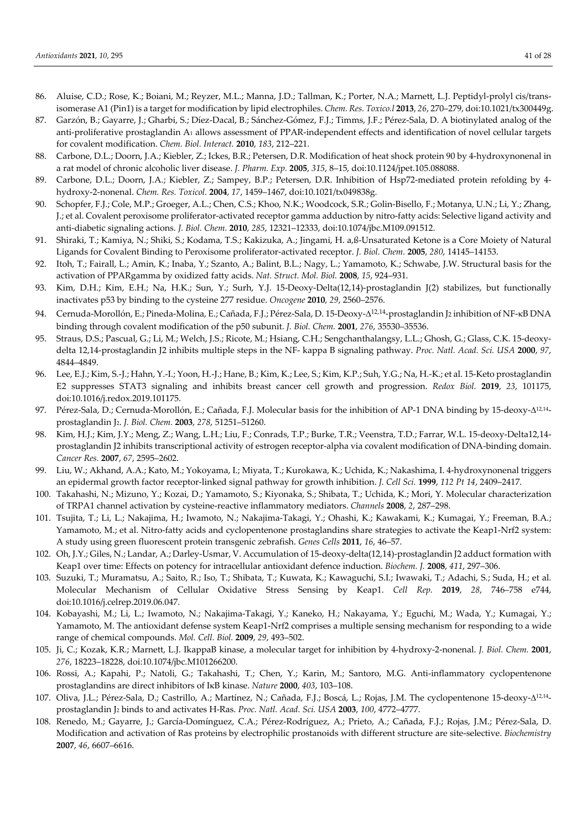- 86. Aluise, C.D.; Rose, K.; Boiani, M.; Reyzer, M.L.; Manna, J.D.; Tallman, K.; Porter, N.A.; Marnett, L.J. Peptidyl-prolyl cis/transisomerase A1 (Pin1) is a target for modification by lipid electrophiles. *Chem. Res. Toxico.l* **2013**, *26*, 270–279, doi:10.1021/tx300449g.
- 87. Garzón, B.; Gayarre, J.; Gharbi, S.; Díez-Dacal, B.; Sánchez-Gómez, F.J.; Timms, J.F.; Pérez-Sala, D. A biotinylated analog of the anti-proliferative prostaglandin A<sup>1</sup> allows assessment of PPAR-independent effects and identification of novel cellular targets for covalent modification. *Chem. Biol. Interact.* **2010**, *183*, 212–221.
- 88. Carbone, D.L.; Doorn, J.A.; Kiebler, Z.; Ickes, B.R.; Petersen, D.R. Modification of heat shock protein 90 by 4-hydroxynonenal in a rat model of chronic alcoholic liver disease. *J. Pharm. Exp.* **2005**, *315*, 8–15, doi:10.1124/jpet.105.088088.
- 89. Carbone, D.L.; Doorn, J.A.; Kiebler, Z.; Sampey, B.P.; Petersen, D.R. Inhibition of Hsp72-mediated protein refolding by 4 hydroxy-2-nonenal. *Chem. Res. Toxicol.* **2004**, *17*, 1459–1467, doi:10.1021/tx049838g.
- 90. Schopfer, F.J.; Cole, M.P.; Groeger, A.L.; Chen, C.S.; Khoo, N.K.; Woodcock, S.R.; Golin-Bisello, F.; Motanya, U.N.; Li, Y.; Zhang, J.; et al. Covalent peroxisome proliferator-activated receptor gamma adduction by nitro-fatty acids: Selective ligand activity and anti-diabetic signaling actions. *J. Biol. Chem.* **2010**, *285*, 12321–12333, doi:10.1074/jbc.M109.091512.
- 91. Shiraki, T.; Kamiya, N.; Shiki, S.; Kodama, T.S.; Kakizuka, A.; Jingami, H. a,ß-Unsaturated Ketone is a Core Moiety of Natural Ligands for Covalent Binding to Peroxisome proliferator-activated receptor. *J. Biol. Chem.* **2005**, *280*, 14145–14153.
- 92. Itoh, T.; Fairall, L.; Amin, K.; Inaba, Y.; Szanto, A.; Balint, B.L.; Nagy, L.; Yamamoto, K.; Schwabe, J.W. Structural basis for the activation of PPARgamma by oxidized fatty acids. *Nat. Struct. Mol. Biol.* **2008**, *15*, 924–931.
- 93. Kim, D.H.; Kim, E.H.; Na, H.K.; Sun, Y.; Surh, Y.J. 15-Deoxy-Delta(12,14)-prostaglandin J(2) stabilizes, but functionally inactivates p53 by binding to the cysteine 277 residue. *Oncogene* **2010**, *29*, 2560–2576.
- 94. Cernuda-Morollón, E.; Pineda-Molina, E.; Cañada, F.J.; Pérez-Sala, D. 15-Deoxy- $\Delta^{12,14}$ -prostaglandin J2 inhibition of NF-ĸB DNA binding through covalent modification of the p50 subunit. *J. Biol. Chem.* **2001**, *276*, 35530–35536.
- 95. Straus, D.S.; Pascual, G.; Li, M.; Welch, J.S.; Ricote, M.; Hsiang, C.H.; Sengchanthalangsy, L.L.; Ghosh, G.; Glass, C.K. 15-deoxydelta 12,14-prostaglandin J2 inhibits multiple steps in the NF- kappa B signaling pathway. *Proc. Natl. Acad. Sci. USA* **2000**, *97*, 4844–4849.
- 96. Lee, E.J.; Kim, S.-J.; Hahn, Y.-I.; Yoon, H.-J.; Hane, B.; Kim, K.; Lee, S.; Kim, K.P.; Suh, Y.G.; Na, H.-K.; et al. 15-Keto prostaglandin E2 suppresses STAT3 signaling and inhibits breast cancer cell growth and progression. *Redox Biol.* **2019**, *23*, 101175, doi:10.1016/j.redox.2019.101175.
- 97. Pérez-Sala, D.; Cernuda-Morollón, E.; Cañada, F.J. Molecular basis for the inhibition of AP-1 DNA binding by 15-deoxy- $\Delta^{12,14}$ prostaglandin J2. *J. Biol. Chem.* **2003**, *278*, 51251–51260.
- 98. Kim, H.J.; Kim, J.Y.; Meng, Z.; Wang, L.H.; Liu, F.; Conrads, T.P.; Burke, T.R.; Veenstra, T.D.; Farrar, W.L. 15-deoxy-Delta12,14 prostaglandin J2 inhibits transcriptional activity of estrogen receptor-alpha via covalent modification of DNA-binding domain. *Cancer Res.* **2007**, *67*, 2595–2602.
- 99. Liu, W.; Akhand, A.A.; Kato, M.; Yokoyama, I.; Miyata, T.; Kurokawa, K.; Uchida, K.; Nakashima, I. 4-hydroxynonenal triggers an epidermal growth factor receptor-linked signal pathway for growth inhibition. *J. Cell Sci.* **1999**, *112 Pt 14*, 2409–2417.
- 100. Takahashi, N.; Mizuno, Y.; Kozai, D.; Yamamoto, S.; Kiyonaka, S.; Shibata, T.; Uchida, K.; Mori, Y. Molecular characterization of TRPA1 channel activation by cysteine-reactive inflammatory mediators. *Channels* **2008**, *2*, 287–298.
- 101. Tsujita, T.; Li, L.; Nakajima, H.; Iwamoto, N.; Nakajima-Takagi, Y.; Ohashi, K.; Kawakami, K.; Kumagai, Y.; Freeman, B.A.; Yamamoto, M.; et al. Nitro-fatty acids and cyclopentenone prostaglandins share strategies to activate the Keap1-Nrf2 system: A study using green fluorescent protein transgenic zebrafish. *Genes Cells* **2011**, *16*, 46–57.
- 102. Oh, J.Y.; Giles, N.; Landar, A.; Darley-Usmar, V. Accumulation of 15-deoxy-delta(12,14)-prostaglandin J2 adduct formation with Keap1 over time: Effects on potency for intracellular antioxidant defence induction. *Biochem. J.* **2008**, *411*, 297–306.
- 103. Suzuki, T.; Muramatsu, A.; Saito, R.; Iso, T.; Shibata, T.; Kuwata, K.; Kawaguchi, S.I.; Iwawaki, T.; Adachi, S.; Suda, H.; et al. Molecular Mechanism of Cellular Oxidative Stress Sensing by Keap1. *Cell Rep.* **2019**, *28*, 746–758 e744, doi:10.1016/j.celrep.2019.06.047.
- 104. Kobayashi, M.; Li, L.; Iwamoto, N.; Nakajima-Takagi, Y.; Kaneko, H.; Nakayama, Y.; Eguchi, M.; Wada, Y.; Kumagai, Y.; Yamamoto, M. The antioxidant defense system Keap1-Nrf2 comprises a multiple sensing mechanism for responding to a wide range of chemical compounds. *Mol. Cell. Biol.* **2009**, *29*, 493–502.
- 105. Ji, C.; Kozak, K.R.; Marnett, L.J. IkappaB kinase, a molecular target for inhibition by 4-hydroxy-2-nonenal. *J. Biol. Chem.* **2001**, *276*, 18223–18228, doi:10.1074/jbc.M101266200.
- 106. Rossi, A.; Kapahi, P.; Natoli, G.; Takahashi, T.; Chen, Y.; Karin, M.; Santoro, M.G. Anti-inflammatory cyclopentenone prostaglandins are direct inhibitors of I<sub>K</sub>B kinase. *Nature* 2000, 403, 103-108.
- 107. Oliva, J.L.; Pérez-Sala, D.; Castrillo, A.; Martínez, N.; Cañada, F.J.; Boscá, L.; Rojas, J.M. The cyclopentenone 15-deoxy- $\Delta^{12,14}$ prostaglandin J<sup>2</sup> binds to and activates H-Ras. *Proc. Natl. Acad. Sci. USA* **2003**, *100*, 4772–4777.
- 108. Renedo, M.; Gayarre, J.; García-Domínguez, C.A.; Pérez-Rodríguez, A.; Prieto, A.; Cañada, F.J.; Rojas, J.M.; Pérez-Sala, D. Modification and activation of Ras proteins by electrophilic prostanoids with different structure are site-selective. *Biochemistry*  **2007**, *46*, 6607–6616.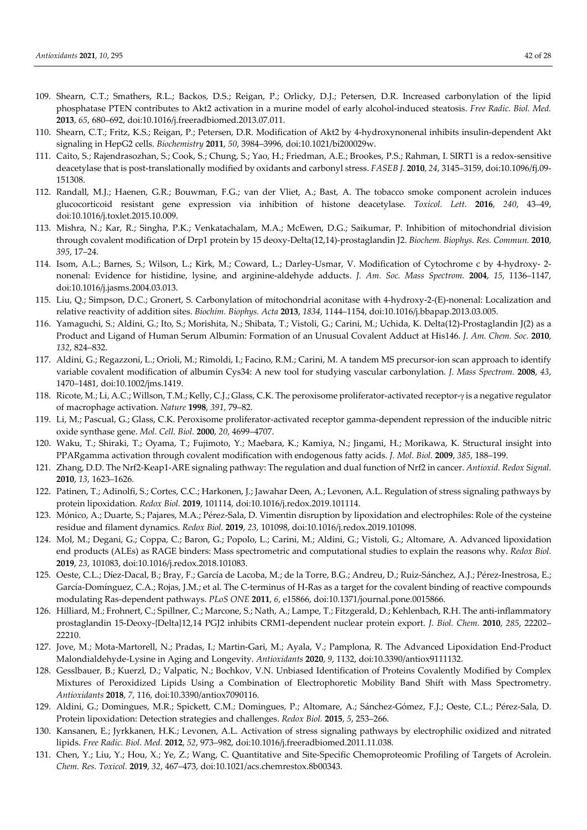- 109. Shearn, C.T.; Smathers, R.L.; Backos, D.S.; Reigan, P.; Orlicky, D.J.; Petersen, D.R. Increased carbonylation of the lipid phosphatase PTEN contributes to Akt2 activation in a murine model of early alcohol-induced steatosis. *Free Radic. Biol. Med.*  **2013**, *65*, 680–692, doi:10.1016/j.freeradbiomed.2013.07.011.
- 110. Shearn, C.T.; Fritz, K.S.; Reigan, P.; Petersen, D.R. Modification of Akt2 by 4-hydroxynonenal inhibits insulin-dependent Akt signaling in HepG2 cells. *Biochemistry* **2011**, *50*, 3984–3996, doi:10.1021/bi200029w.
- 111. Caito, S.; Rajendrasozhan, S.; Cook, S.; Chung, S.; Yao, H.; Friedman, A.E.; Brookes, P.S.; Rahman, I. SIRT1 is a redox-sensitive deacetylase that is post-translationally modified by oxidants and carbonyl stress. *FASEB J.* **2010**, *24*, 3145–3159, doi:10.1096/fj.09- 151308.
- 112. Randall, M.J.; Haenen, G.R.; Bouwman, F.G.; van der Vliet, A.; Bast, A. The tobacco smoke component acrolein induces glucocorticoid resistant gene expression via inhibition of histone deacetylase. *Toxicol. Lett.* **2016**, *240*, 43–49, doi:10.1016/j.toxlet.2015.10.009.
- 113. Mishra, N.; Kar, R.; Singha, P.K.; Venkatachalam, M.A.; McEwen, D.G.; Saikumar, P. Inhibition of mitochondrial division through covalent modification of Drp1 protein by 15 deoxy-Delta(12,14)-prostaglandin J2. *Biochem. Biophys. Res. Commun.* **2010**, *395*, 17–24.
- 114. Isom, A.L.; Barnes, S.; Wilson, L.; Kirk, M.; Coward, L.; Darley-Usmar, V. Modification of Cytochrome c by 4-hydroxy- 2 nonenal: Evidence for histidine, lysine, and arginine-aldehyde adducts. *J. Am. Soc. Mass Spectrom.* **2004**, *15*, 1136–1147, doi:10.1016/j.jasms.2004.03.013.
- 115. Liu, Q.; Simpson, D.C.; Gronert, S. Carbonylation of mitochondrial aconitase with 4-hydroxy-2-(E)-nonenal: Localization and relative reactivity of addition sites. *Biochim. Biophys. Acta* **2013**, *1834*, 1144–1154, doi:10.1016/j.bbapap.2013.03.005.
- 116. Yamaguchi, S.; Aldini, G.; Ito, S.; Morishita, N.; Shibata, T.; Vistoli, G.; Carini, M.; Uchida, K. Delta(12)-Prostaglandin J(2) as a Product and Ligand of Human Serum Albumin: Formation of an Unusual Covalent Adduct at His146. *J. Am. Chem. Soc.* **2010**, *132*, 824–832.
- 117. Aldini, G.; Regazzoni, L.; Orioli, M.; Rimoldi, I.; Facino, R.M.; Carini, M. A tandem MS precursor-ion scan approach to identify variable covalent modification of albumin Cys34: A new tool for studying vascular carbonylation. *J. Mass Spectrom.* **2008**, *43*, 1470–1481, doi:10.1002/jms.1419.
- 118. Ricote, M.; Li, A.C.; Willson, T.M.; Kelly, C.J.; Glass, C.K. The peroxisome proliferator-activated receptor- $\gamma$  is a negative regulator of macrophage activation. *Nature* **1998**, *391*, 79–82.
- 119. Li, M.; Pascual, G.; Glass, C.K. Peroxisome proliferator-activated receptor gamma-dependent repression of the inducible nitric oxide synthase gene. *Mol. Cell. Biol.* **2000**, *20*, 4699–4707.
- 120. Waku, T.; Shiraki, T.; Oyama, T.; Fujimoto, Y.; Maebara, K.; Kamiya, N.; Jingami, H.; Morikawa, K. Structural insight into PPARgamma activation through covalent modification with endogenous fatty acids. *J. Mol. Biol.* **2009**, *385*, 188–199.
- 121. Zhang, D.D. The Nrf2-Keap1-ARE signaling pathway: The regulation and dual function of Nrf2 in cancer. *Antioxid. Redox Signal.*  **2010**, *13*, 1623–1626.
- 122. Patinen, T.; Adinolfi, S.; Cortes, C.C.; Harkonen, J.; Jawahar Deen, A.; Levonen, A.L. Regulation of stress signaling pathways by protein lipoxidation. *Redox Biol.* **2019**, 101114, doi:10.1016/j.redox.2019.101114.
- 123. Mónico, A.; Duarte, S.; Pajares, M.A.; Pérez-Sala, D. Vimentin disruption by lipoxidation and electrophiles: Role of the cysteine residue and filament dynamics. *Redox Biol.* **2019**, *23*, 101098, doi:10.1016/j.redox.2019.101098.
- 124. Mol, M.; Degani, G.; Coppa, C.; Baron, G.; Popolo, L.; Carini, M.; Aldini, G.; Vistoli, G.; Altomare, A. Advanced lipoxidation end products (ALEs) as RAGE binders: Mass spectrometric and computational studies to explain the reasons why. *Redox Biol.*  **2019**, *23*, 101083, doi:10.1016/j.redox.2018.101083.
- 125. Oeste, C.L.; Díez-Dacal, B.; Bray, F.; García de Lacoba, M.; de la Torre, B.G.; Andreu, D.; Ruiz-Sánchez, A.J.; Pérez-Inestrosa, E.; García-Domínguez, C.A.; Rojas, J.M.; et al. The C-terminus of H-Ras as a target for the covalent binding of reactive compounds modulating Ras-dependent pathways. *PLoS ONE* **2011**, *6*, e15866, doi:10.1371/journal.pone.0015866.
- 126. Hilliard, M.; Frohnert, C.; Spillner, C.; Marcone, S.; Nath, A.; Lampe, T.; Fitzgerald, D.; Kehlenbach, R.H. The anti-inflammatory prostaglandin 15-Deoxy-{Delta}12,14 PGJ2 inhibits CRM1-dependent nuclear protein export. *J. Biol. Chem.* **2010**, *285*, 22202– 22210.
- 127. Jove, M.; Mota-Martorell, N.; Pradas, I.; Martin-Gari, M.; Ayala, V.; Pamplona, R. The Advanced Lipoxidation End-Product Malondialdehyde-Lysine in Aging and Longevity. *Antioxidants* **2020**, *9*, 1132, doi:10.3390/antiox9111132.
- 128. Gesslbauer, B.; Kuerzl, D.; Valpatic, N.; Bochkov, V.N. Unbiased Identification of Proteins Covalently Modified by Complex Mixtures of Peroxidized Lipids Using a Combination of Electrophoretic Mobility Band Shift with Mass Spectrometry. *Antioxidants* **2018**, *7*, 116, doi:10.3390/antiox7090116.
- 129. Aldini, G.; Domingues, M.R.; Spickett, C.M.; Domingues, P.; Altomare, A.; Sánchez-Gómez, F.J.; Oeste, C.L.; Pérez-Sala, D. Protein lipoxidation: Detection strategies and challenges. *Redox Biol.* **2015**, *5*, 253–266.
- 130. Kansanen, E.; Jyrkkanen, H.K.; Levonen, A.L. Activation of stress signaling pathways by electrophilic oxidized and nitrated lipids. *Free Radic. Biol. Med.* **2012**, *52*, 973–982, doi:10.1016/j.freeradbiomed.2011.11.038.
- 131. Chen, Y.; Liu, Y.; Hou, X.; Ye, Z.; Wang, C. Quantitative and Site-Specific Chemoproteomic Profiling of Targets of Acrolein. *Chem. Res. Toxicol.* **2019**, *32*, 467–473, doi:10.1021/acs.chemrestox.8b00343.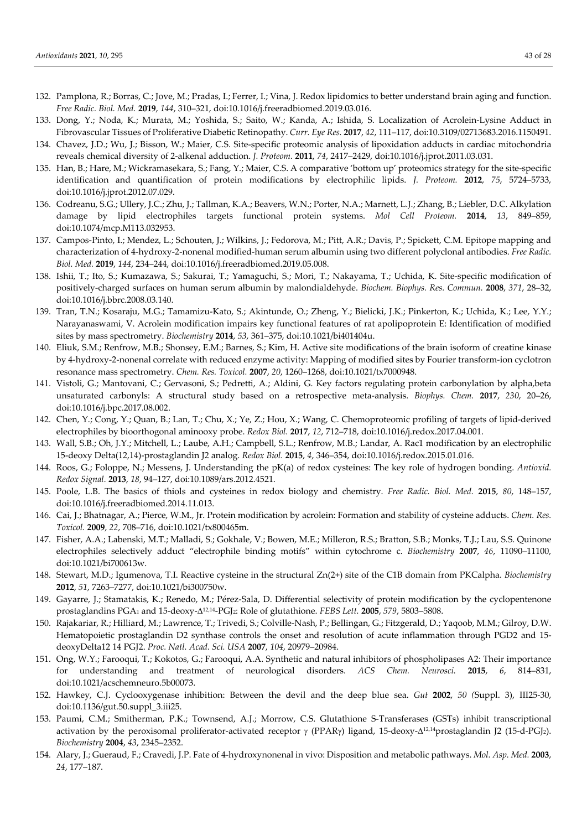- 132. Pamplona, R.; Borras, C.; Jove, M.; Pradas, I.; Ferrer, I.; Vina, J. Redox lipidomics to better understand brain aging and function. *Free Radic. Biol. Med.* **2019**, *144*, 310–321, doi:10.1016/j.freeradbiomed.2019.03.016.
- 133. Dong, Y.; Noda, K.; Murata, M.; Yoshida, S.; Saito, W.; Kanda, A.; Ishida, S. Localization of Acrolein-Lysine Adduct in Fibrovascular Tissues of Proliferative Diabetic Retinopathy. *Curr. Eye Res.* **2017**, *42*, 111–117, doi:10.3109/02713683.2016.1150491.
- 134. Chavez, J.D.; Wu, J.; Bisson, W.; Maier, C.S. Site-specific proteomic analysis of lipoxidation adducts in cardiac mitochondria reveals chemical diversity of 2-alkenal adduction. *J. Proteom.* **2011**, *74*, 2417–2429, doi:10.1016/j.jprot.2011.03.031.
- 135. Han, B.; Hare, M.; Wickramasekara, S.; Fang, Y.; Maier, C.S. A comparative 'bottom up' proteomics strategy for the site-specific identification and quantification of protein modifications by electrophilic lipids. *J. Proteom.* **2012**, *75*, 5724–5733, doi:10.1016/j.jprot.2012.07.029.
- 136. Codreanu, S.G.; Ullery, J.C.; Zhu, J.; Tallman, K.A.; Beavers, W.N.; Porter, N.A.; Marnett, L.J.; Zhang, B.; Liebler, D.C. Alkylation damage by lipid electrophiles targets functional protein systems. *Mol Cell Proteom.* **2014**, *13*, 849–859, doi:10.1074/mcp.M113.032953.
- 137. Campos-Pinto, I.; Mendez, L.; Schouten, J.; Wilkins, J.; Fedorova, M.; Pitt, A.R.; Davis, P.; Spickett, C.M. Epitope mapping and characterization of 4-hydroxy-2-nonenal modified-human serum albumin using two different polyclonal antibodies. *Free Radic. Biol. Med.* **2019**, *144*, 234–244, doi:10.1016/j.freeradbiomed.2019.05.008.
- 138. Ishii, T.; Ito, S.; Kumazawa, S.; Sakurai, T.; Yamaguchi, S.; Mori, T.; Nakayama, T.; Uchida, K. Site-specific modification of positively-charged surfaces on human serum albumin by malondialdehyde. *Biochem. Biophys. Res. Commun.* **2008**, *371*, 28–32, doi:10.1016/j.bbrc.2008.03.140.
- 139. Tran, T.N.; Kosaraju, M.G.; Tamamizu-Kato, S.; Akintunde, O.; Zheng, Y.; Bielicki, J.K.; Pinkerton, K.; Uchida, K.; Lee, Y.Y.; Narayanaswami, V. Acrolein modification impairs key functional features of rat apolipoprotein E: Identification of modified sites by mass spectrometry. *Biochemistry* **2014**, *53*, 361–375, doi:10.1021/bi401404u.
- 140. Eliuk, S.M.; Renfrow, M.B.; Shonsey, E.M.; Barnes, S.; Kim, H. Active site modifications of the brain isoform of creatine kinase by 4-hydroxy-2-nonenal correlate with reduced enzyme activity: Mapping of modified sites by Fourier transform-ion cyclotron resonance mass spectrometry. *Chem. Res. Toxicol.* **2007**, *20*, 1260–1268, doi:10.1021/tx7000948.
- 141. Vistoli, G.; Mantovani, C.; Gervasoni, S.; Pedretti, A.; Aldini, G. Key factors regulating protein carbonylation by alpha,beta unsaturated carbonyls: A structural study based on a retrospective meta-analysis. *Biophys. Chem.* **2017**, *230*, 20–26, doi:10.1016/j.bpc.2017.08.002.
- 142. Chen, Y.; Cong, Y.; Quan, B.; Lan, T.; Chu, X.; Ye, Z.; Hou, X.; Wang, C. Chemoproteomic profiling of targets of lipid-derived electrophiles by bioorthogonal aminooxy probe. *Redox Biol.* **2017**, *12*, 712–718, doi:10.1016/j.redox.2017.04.001.
- 143. Wall, S.B.; Oh, J.Y.; Mitchell, L.; Laube, A.H.; Campbell, S.L.; Renfrow, M.B.; Landar, A. Rac1 modification by an electrophilic 15-deoxy Delta(12,14)-prostaglandin J2 analog. *Redox Biol.* **2015**, *4*, 346–354, doi:10.1016/j.redox.2015.01.016.
- 144. Roos, G.; Foloppe, N.; Messens, J. Understanding the pK(a) of redox cysteines: The key role of hydrogen bonding. *Antioxid. Redox Signal.* **2013**, *18*, 94–127, doi:10.1089/ars.2012.4521.
- 145. Poole, L.B. The basics of thiols and cysteines in redox biology and chemistry. *Free Radic. Biol. Med.* **2015**, *80*, 148–157, doi:10.1016/j.freeradbiomed.2014.11.013.
- 146. Cai, J.; Bhatnagar, A.; Pierce, W.M., Jr. Protein modification by acrolein: Formation and stability of cysteine adducts. *Chem. Res. Toxicol.* **2009**, *22*, 708–716, doi:10.1021/tx800465m.
- 147. Fisher, A.A.; Labenski, M.T.; Malladi, S.; Gokhale, V.; Bowen, M.E.; Milleron, R.S.; Bratton, S.B.; Monks, T.J.; Lau, S.S. Quinone electrophiles selectively adduct "electrophile binding motifs" within cytochrome c. *Biochemistry* **2007**, *46*, 11090–11100, doi:10.1021/bi700613w.
- 148. Stewart, M.D.; Igumenova, T.I. Reactive cysteine in the structural Zn(2+) site of the C1B domain from PKCalpha. *Biochemistry*  **2012**, *51*, 7263–7277, doi:10.1021/bi300750w.
- 149. Gayarre, J.; Stamatakis, K.; Renedo, M.; Pérez-Sala, D. Differential selectivity of protein modification by the cyclopentenone prostaglandins PGA<sup>1</sup> and 15-deoxy-12,14-PGJ2: Role of glutathione. *FEBS Lett.* **2005**, *579*, 5803–5808.
- 150. Rajakariar, R.; Hilliard, M.; Lawrence, T.; Trivedi, S.; Colville-Nash, P.; Bellingan, G.; Fitzgerald, D.; Yaqoob, M.M.; Gilroy, D.W. Hematopoietic prostaglandin D2 synthase controls the onset and resolution of acute inflammation through PGD2 and 15 deoxyDelta12 14 PGJ2. *Proc. Natl. Acad. Sci. USA* **2007**, *104*, 20979–20984.
- 151. Ong, W.Y.; Farooqui, T.; Kokotos, G.; Farooqui, A.A. Synthetic and natural inhibitors of phospholipases A2: Their importance for understanding and treatment of neurological disorders. *ACS Chem. Neurosci.* **2015**, *6*, 814–831, doi:10.1021/acschemneuro.5b00073.
- 152. Hawkey, C.J. Cyclooxygenase inhibition: Between the devil and the deep blue sea. *Gut* **2002**, *50 (*Suppl. 3), III25-30, doi:10.1136/gut.50.suppl\_3.iii25.
- 153. Paumi, C.M.; Smitherman, P.K.; Townsend, A.J.; Morrow, C.S. Glutathione S-Transferases (GSTs) inhibit transcriptional activation by the peroxisomal proliferator-activated receptor  $\gamma$  (PPAR $\gamma$ ) ligand, 15-deoxy- $\Delta^{12,14}$ prostaglandin J2 (15-d-PGJ<sub>2</sub>). *Biochemistry* **2004**, *43*, 2345–2352.
- 154. Alary, J.; Gueraud, F.; Cravedi, J.P. Fate of 4-hydroxynonenal in vivo: Disposition and metabolic pathways. *Mol. Asp. Med.* **2003**, *24*, 177–187.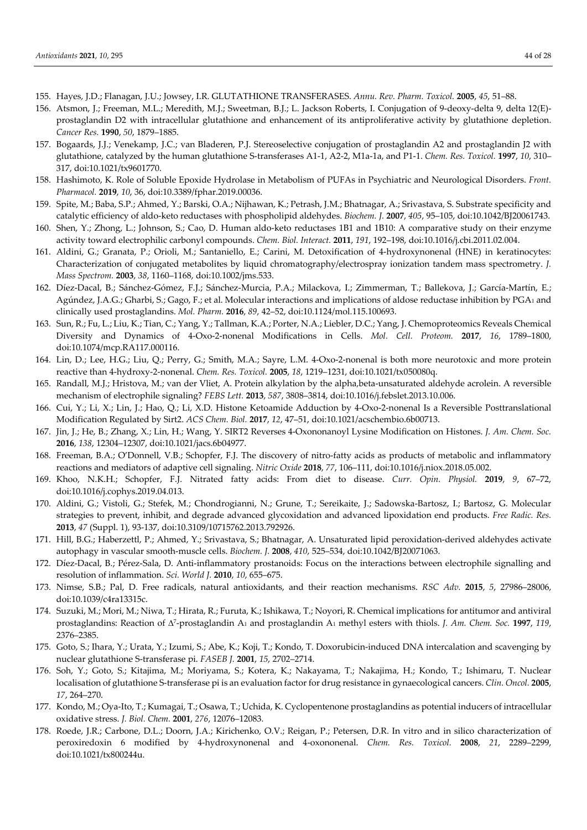- 155. Hayes, J.D.; Flanagan, J.U.; Jowsey, I.R. GLUTATHIONE TRANSFERASES. *Annu. Rev. Pharm. Toxicol.* **2005**, *45*, 51–88.
- 156. Atsmon, J.; Freeman, M.L.; Meredith, M.J.; Sweetman, B.J.; L. Jackson Roberts, I. Conjugation of 9-deoxy-delta 9, delta 12(E) prostaglandin D2 with intracellular glutathione and enhancement of its antiproliferative activity by glutathione depletion. *Cancer Res.* **1990**, *50*, 1879–1885.
- 157. Bogaards, J.J.; Venekamp, J.C.; van Bladeren, P.J. Stereoselective conjugation of prostaglandin A2 and prostaglandin J2 with glutathione, catalyzed by the human glutathione S-transferases A1-1, A2-2, M1a-1a, and P1-1. *Chem. Res. Toxicol.* **1997**, *10*, 310– 317, doi:10.1021/tx9601770.
- 158. Hashimoto, K. Role of Soluble Epoxide Hydrolase in Metabolism of PUFAs in Psychiatric and Neurological Disorders. *Front. Pharmacol.* **2019**, *10*, 36, doi:10.3389/fphar.2019.00036.
- 159. Spite, M.; Baba, S.P.; Ahmed, Y.; Barski, O.A.; Nijhawan, K.; Petrash, J.M.; Bhatnagar, A.; Srivastava, S. Substrate specificity and catalytic efficiency of aldo-keto reductases with phospholipid aldehydes. *Biochem. J.* **2007**, *405*, 95–105, doi:10.1042/BJ20061743.
- 160. Shen, Y.; Zhong, L.; Johnson, S.; Cao, D. Human aldo-keto reductases 1B1 and 1B10: A comparative study on their enzyme activity toward electrophilic carbonyl compounds. *Chem. Biol. Interact.* **2011**, *191*, 192–198, doi:10.1016/j.cbi.2011.02.004.
- 161. Aldini, G.; Granata, P.; Orioli, M.; Santaniello, E.; Carini, M. Detoxification of 4-hydroxynonenal (HNE) in keratinocytes: Characterization of conjugated metabolites by liquid chromatography/electrospray ionization tandem mass spectrometry. *J. Mass Spectrom.* **2003**, *38*, 1160–1168, doi:10.1002/jms.533.
- 162. Díez-Dacal, B.; Sánchez-Gómez, F.J.; Sánchez-Murcia, P.A.; Milackova, I.; Zimmerman, T.; Ballekova, J.; García-Martín, E.; Agúndez, J.A.G.; Gharbi, S.; Gago, F.; et al. Molecular interactions and implications of aldose reductase inhibition by PGA1 and clinically used prostaglandins. *Mol. Pharm.* **2016**, *89*, 42–52, doi:10.1124/mol.115.100693.
- 163. Sun, R.; Fu, L.; Liu, K.; Tian, C.; Yang, Y.; Tallman, K.A.; Porter, N.A.; Liebler, D.C.; Yang, J. Chemoproteomics Reveals Chemical Diversity and Dynamics of 4-Oxo-2-nonenal Modifications in Cells. *Mol. Cell. Proteom.* **2017**, *16*, 1789–1800, doi:10.1074/mcp.RA117.000116.
- 164. Lin, D.; Lee, H.G.; Liu, Q.; Perry, G.; Smith, M.A.; Sayre, L.M. 4-Oxo-2-nonenal is both more neurotoxic and more protein reactive than 4-hydroxy-2-nonenal. *Chem. Res. Toxicol.* **2005**, *18*, 1219–1231, doi:10.1021/tx050080q.
- 165. Randall, M.J.; Hristova, M.; van der Vliet, A. Protein alkylation by the alpha,beta-unsaturated aldehyde acrolein. A reversible mechanism of electrophile signaling? *FEBS Lett.* **2013**, *587*, 3808–3814, doi:10.1016/j.febslet.2013.10.006.
- 166. Cui, Y.; Li, X.; Lin, J.; Hao, Q.; Li, X.D. Histone Ketoamide Adduction by 4-Oxo-2-nonenal Is a Reversible Posttranslational Modification Regulated by Sirt2. *ACS Chem. Biol.* **2017**, *12*, 47–51, doi:10.1021/acschembio.6b00713.
- 167. Jin, J.; He, B.; Zhang, X.; Lin, H.; Wang, Y. SIRT2 Reverses 4-Oxononanoyl Lysine Modification on Histones. *J. Am. Chem. Soc.*  **2016**, *138*, 12304–12307, doi:10.1021/jacs.6b04977.
- 168. Freeman, B.A.; O'Donnell, V.B.; Schopfer, F.J. The discovery of nitro-fatty acids as products of metabolic and inflammatory reactions and mediators of adaptive cell signaling. *Nitric Oxide* **2018**, *77*, 106–111, doi:10.1016/j.niox.2018.05.002.
- 169. Khoo, N.K.H.; Schopfer, F.J. Nitrated fatty acids: From diet to disease. *Curr. Opin. Physiol.* **2019**, *9*, 67–72, doi:10.1016/j.cophys.2019.04.013.
- 170. Aldini, G.; Vistoli, G.; Stefek, M.; Chondrogianni, N.; Grune, T.; Sereikaite, J.; Sadowska-Bartosz, I.; Bartosz, G. Molecular strategies to prevent, inhibit, and degrade advanced glycoxidation and advanced lipoxidation end products. *Free Radic. Res.*  **2013**, *47* (Suppl. 1), 93-137, doi:10.3109/10715762.2013.792926.
- 171. Hill, B.G.; Haberzettl, P.; Ahmed, Y.; Srivastava, S.; Bhatnagar, A. Unsaturated lipid peroxidation-derived aldehydes activate autophagy in vascular smooth-muscle cells. *Biochem. J.* **2008**, *410*, 525–534, doi:10.1042/BJ20071063.
- 172. Díez-Dacal, B.; Pérez-Sala, D. Anti-inflammatory prostanoids: Focus on the interactions between electrophile signalling and resolution of inflammation. *Sci. World J.* **2010**, *10*, 655–675.
- 173. Nimse, S.B.; Pal, D. Free radicals, natural antioxidants, and their reaction mechanisms. *RSC Adv.* **2015**, *5*, 27986–28006, doi:10.1039/c4ra13315c.
- 174. Suzuki, M.; Mori, M.; Niwa, T.; Hirata, R.; Furuta, K.; Ishikawa, T.; Noyori, R. Chemical implications for antitumor and antiviral prostaglandins: Reaction of  $\Delta^7$ -prostaglandin A<sub>1</sub> and prostaglandin A<sub>1</sub> methyl esters with thiols. *J. Am. Chem. Soc.* **1997**, *119*, 2376–2385.
- 175. Goto, S.; Ihara, Y.; Urata, Y.; Izumi, S.; Abe, K.; Koji, T.; Kondo, T. Doxorubicin-induced DNA intercalation and scavenging by nuclear glutathione S-transferase pi. *FASEB J.* **2001**, *15*, 2702–2714.
- 176. Soh, Y.; Goto, S.; Kitajima, M.; Moriyama, S.; Kotera, K.; Nakayama, T.; Nakajima, H.; Kondo, T.; Ishimaru, T. Nuclear localisation of glutathione S-transferase pi is an evaluation factor for drug resistance in gynaecological cancers. *Clin. Oncol.* **2005**, *17*, 264–270.
- 177. Kondo, M.; Oya-Ito, T.; Kumagai, T.; Osawa, T.; Uchida, K. Cyclopentenone prostaglandins as potential inducers of intracellular oxidative stress. *J. Biol. Chem.* **2001**, *276*, 12076–12083.
- 178. Roede, J.R.; Carbone, D.L.; Doorn, J.A.; Kirichenko, O.V.; Reigan, P.; Petersen, D.R. In vitro and in silico characterization of peroxiredoxin 6 modified by 4-hydroxynonenal and 4-oxononenal. *Chem. Res. Toxicol.* **2008**, *21*, 2289–2299, doi:10.1021/tx800244u.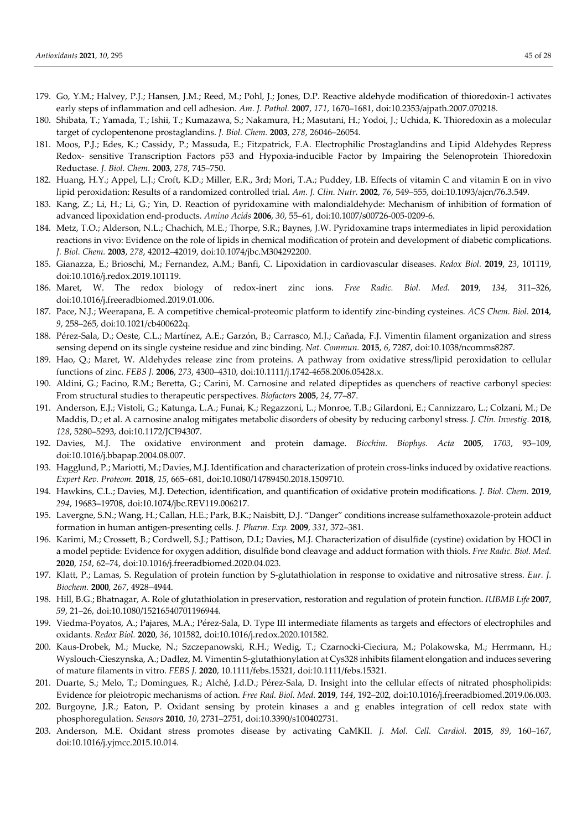- 179. Go, Y.M.; Halvey, P.J.; Hansen, J.M.; Reed, M.; Pohl, J.; Jones, D.P. Reactive aldehyde modification of thioredoxin-1 activates early steps of inflammation and cell adhesion. *Am. J. Pathol.* **2007**, *171*, 1670–1681, doi:10.2353/ajpath.2007.070218.
- 180. Shibata, T.; Yamada, T.; Ishii, T.; Kumazawa, S.; Nakamura, H.; Masutani, H.; Yodoi, J.; Uchida, K. Thioredoxin as a molecular target of cyclopentenone prostaglandins. *J. Biol. Chem.* **2003**, *278*, 26046–26054.
- 181. Moos, P.J.; Edes, K.; Cassidy, P.; Massuda, E.; Fitzpatrick, F.A. Electrophilic Prostaglandins and Lipid Aldehydes Repress Redox- sensitive Transcription Factors p53 and Hypoxia-inducible Factor by Impairing the Selenoprotein Thioredoxin Reductase. *J. Biol. Chem.* **2003**, *278*, 745–750.
- 182. Huang, H.Y.; Appel, L.J.; Croft, K.D.; Miller, E.R., 3rd; Mori, T.A.; Puddey, I.B. Effects of vitamin C and vitamin E on in vivo lipid peroxidation: Results of a randomized controlled trial. *Am. J. Clin. Nutr.* **2002**, *76*, 549–555, doi:10.1093/ajcn/76.3.549.
- 183. Kang, Z.; Li, H.; Li, G.; Yin, D. Reaction of pyridoxamine with malondialdehyde: Mechanism of inhibition of formation of advanced lipoxidation end-products. *Amino Acids* **2006**, *30*, 55–61, doi:10.1007/s00726-005-0209-6.
- 184. Metz, T.O.; Alderson, N.L.; Chachich, M.E.; Thorpe, S.R.; Baynes, J.W. Pyridoxamine traps intermediates in lipid peroxidation reactions in vivo: Evidence on the role of lipids in chemical modification of protein and development of diabetic complications. *J. Biol. Chem.* **2003**, *278*, 42012–42019, doi:10.1074/jbc.M304292200.
- 185. Gianazza, E.; Brioschi, M.; Fernandez, A.M.; Banfi, C. Lipoxidation in cardiovascular diseases. *Redox Biol.* **2019**, *23*, 101119, doi:10.1016/j.redox.2019.101119.
- 186. Maret, W. The redox biology of redox-inert zinc ions. *Free Radic. Biol. Med.* **2019**, *134*, 311–326, doi:10.1016/j.freeradbiomed.2019.01.006.
- 187. Pace, N.J.; Weerapana, E. A competitive chemical-proteomic platform to identify zinc-binding cysteines. *ACS Chem. Biol.* **2014**, *9*, 258–265, doi:10.1021/cb400622q.
- 188. Pérez-Sala, D.; Oeste, C.L.; Martínez, A.E.; Garzón, B.; Carrasco, M.J.; Cañada, F.J. Vimentin filament organization and stress sensing depend on its single cysteine residue and zinc binding. *Nat. Commun.* **2015**, *6*, 7287, doi:10.1038/ncomms8287.
- 189. Hao, Q.; Maret, W. Aldehydes release zinc from proteins. A pathway from oxidative stress/lipid peroxidation to cellular functions of zinc. *FEBS J.* **2006**, *273*, 4300–4310, doi:10.1111/j.1742-4658.2006.05428.x.
- 190. Aldini, G.; Facino, R.M.; Beretta, G.; Carini, M. Carnosine and related dipeptides as quenchers of reactive carbonyl species: From structural studies to therapeutic perspectives. *Biofactors* **2005**, *24*, 77–87.
- 191. Anderson, E.J.; Vistoli, G.; Katunga, L.A.; Funai, K.; Regazzoni, L.; Monroe, T.B.; Gilardoni, E.; Cannizzaro, L.; Colzani, M.; De Maddis, D.; et al. A carnosine analog mitigates metabolic disorders of obesity by reducing carbonyl stress. *J. Clin. Investig.* **2018**, *128*, 5280–5293, doi:10.1172/JCI94307.
- 192. Davies, M.J. The oxidative environment and protein damage. *Biochim. Biophys. Acta* **2005**, *1703*, 93–109, doi:10.1016/j.bbapap.2004.08.007.
- 193. Hagglund, P.; Mariotti, M.; Davies, M.J. Identification and characterization of protein cross-links induced by oxidative reactions. *Expert Rev. Proteom.* **2018**, *15*, 665–681, doi:10.1080/14789450.2018.1509710.
- 194. Hawkins, C.L.; Davies, M.J. Detection, identification, and quantification of oxidative protein modifications. *J. Biol. Chem.* **2019**, *294*, 19683–19708, doi:10.1074/jbc.REV119.006217.
- 195. Lavergne, S.N.; Wang, H.; Callan, H.E.; Park, B.K.; Naisbitt, D.J. "Danger" conditions increase sulfamethoxazole-protein adduct formation in human antigen-presenting cells. *J. Pharm. Exp.* **2009**, *331*, 372–381.
- 196. Karimi, M.; Crossett, B.; Cordwell, S.J.; Pattison, D.I.; Davies, M.J. Characterization of disulfide (cystine) oxidation by HOCl in a model peptide: Evidence for oxygen addition, disulfide bond cleavage and adduct formation with thiols. *Free Radic. Biol. Med.*  **2020**, *154*, 62–74, doi:10.1016/j.freeradbiomed.2020.04.023.
- 197. Klatt, P.; Lamas, S. Regulation of protein function by S-glutathiolation in response to oxidative and nitrosative stress. *Eur. J. Biochem.* **2000**, *267*, 4928–4944.
- 198. Hill, B.G.; Bhatnagar, A. Role of glutathiolation in preservation, restoration and regulation of protein function. *IUBMB Life* **2007**, *59*, 21–26, doi:10.1080/15216540701196944.
- 199. Viedma-Poyatos, A.; Pajares, M.A.; Pérez-Sala, D. Type III intermediate filaments as targets and effectors of electrophiles and oxidants. *Redox Biol.* **2020**, *36*, 101582, doi:10.1016/j.redox.2020.101582.
- 200. Kaus-Drobek, M.; Mucke, N.; Szczepanowski, R.H.; Wedig, T.; Czarnocki-Cieciura, M.; Polakowska, M.; Herrmann, H.; Wyslouch-Cieszynska, A.; Dadlez, M. Vimentin S-glutathionylation at Cys328 inhibits filament elongation and induces severing of mature filaments in vitro. *FEBS J.* **2020**, 10.1111/febs.15321, doi:10.1111/febs.15321.
- 201. Duarte, S.; Melo, T.; Domingues, R.; Alché, J.d.D.; Pérez-Sala, D. Insight into the cellular effects of nitrated phospholipids: Evidence for pleiotropic mechanisms of action. *Free Rad. Biol. Med.* **2019**, *144*, 192–202, doi:10.1016/j.freeradbiomed.2019.06.003.
- 202. Burgoyne, J.R.; Eaton, P. Oxidant sensing by protein kinases a and g enables integration of cell redox state with phosphoregulation. *Sensors* **2010**, *10*, 2731–2751, doi:10.3390/s100402731.
- 203. Anderson, M.E. Oxidant stress promotes disease by activating CaMKII. *J. Mol. Cell. Cardiol.* **2015**, *89*, 160–167, doi:10.1016/j.yjmcc.2015.10.014.